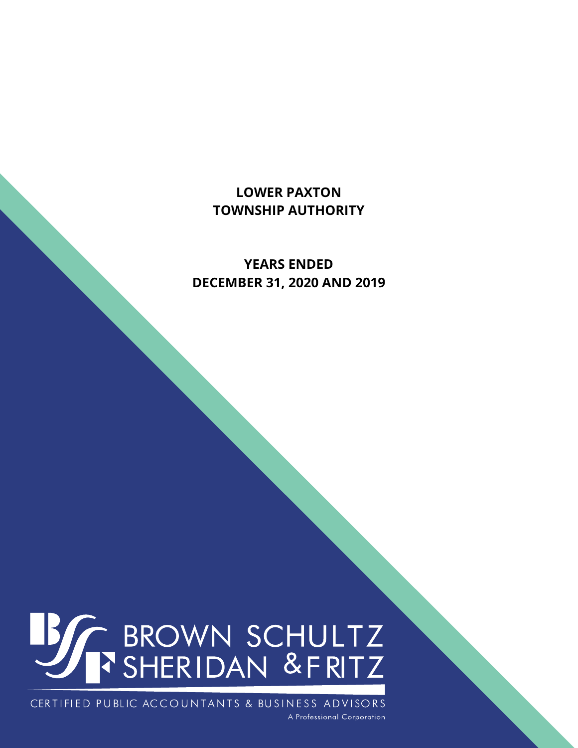**YEARS ENDED DECEMBER 31, 2020 AND 2019** 

# **BEAT BROWN SCHULTZ**

CERTIFIED PUBLIC ACCOUNTANTS & BUSINESS ADVISORS A Professional Corporation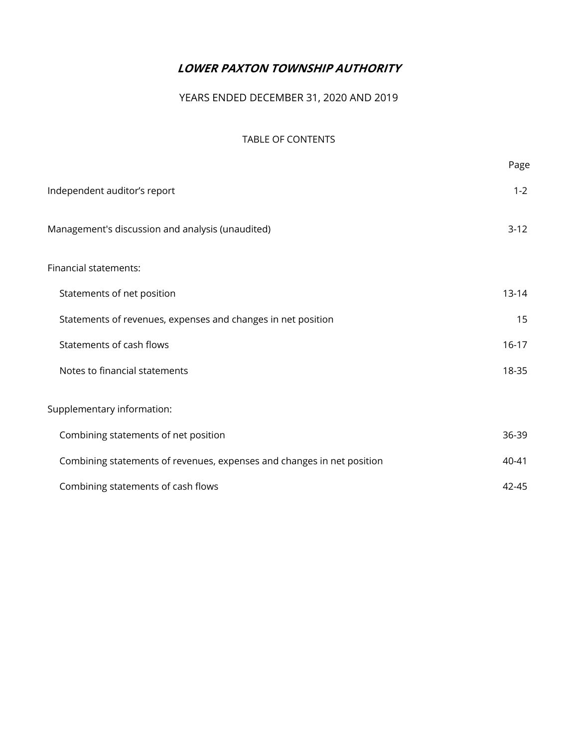# YEARS ENDED DECEMBER 31, 2020 AND 2019

## TABLE OF CONTENTS

|                                                                        | Page      |
|------------------------------------------------------------------------|-----------|
| Independent auditor's report                                           | $1 - 2$   |
| Management's discussion and analysis (unaudited)                       | $3-12$    |
| <b>Financial statements:</b>                                           |           |
| Statements of net position                                             | $13 - 14$ |
| Statements of revenues, expenses and changes in net position           | 15        |
| Statements of cash flows                                               | $16-17$   |
| Notes to financial statements                                          | 18-35     |
| Supplementary information:                                             |           |
| Combining statements of net position                                   | 36-39     |
| Combining statements of revenues, expenses and changes in net position | 40-41     |
| Combining statements of cash flows                                     | 42-45     |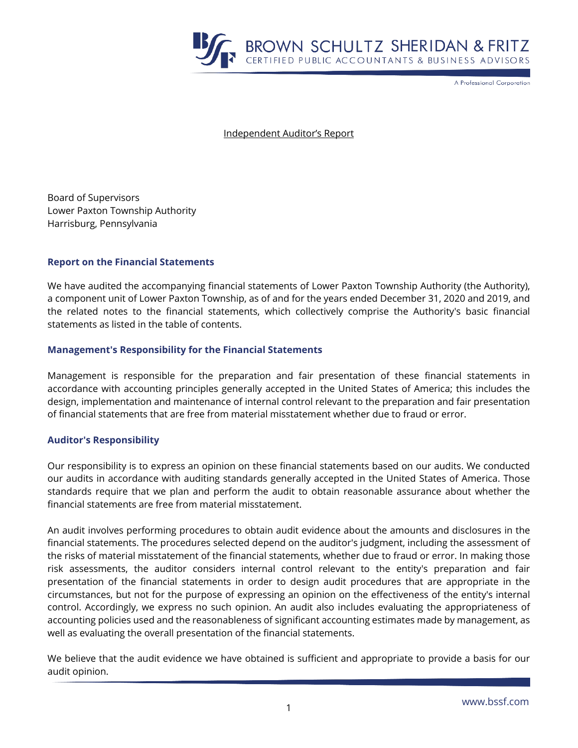

A Professional Corporation

Independent Auditor's Report

Board of Supervisors Lower Paxton Township Authority Harrisburg, Pennsylvania

#### **Report on the Financial Statements**

We have audited the accompanying financial statements of Lower Paxton Township Authority (the Authority), a component unit of Lower Paxton Township, as of and for the years ended December 31, 2020 and 2019, and the related notes to the financial statements, which collectively comprise the Authority's basic financial statements as listed in the table of contents.

#### **Management's Responsibility for the Financial Statements**

Management is responsible for the preparation and fair presentation of these financial statements in accordance with accounting principles generally accepted in the United States of America; this includes the design, implementation and maintenance of internal control relevant to the preparation and fair presentation of financial statements that are free from material misstatement whether due to fraud or error.

#### **Auditor's Responsibility**

Our responsibility is to express an opinion on these financial statements based on our audits. We conducted our audits in accordance with auditing standards generally accepted in the United States of America. Those standards require that we plan and perform the audit to obtain reasonable assurance about whether the financial statements are free from material misstatement.

An audit involves performing procedures to obtain audit evidence about the amounts and disclosures in the financial statements. The procedures selected depend on the auditor's judgment, including the assessment of the risks of material misstatement of the financial statements, whether due to fraud or error. In making those risk assessments, the auditor considers internal control relevant to the entity's preparation and fair presentation of the financial statements in order to design audit procedures that are appropriate in the circumstances, but not for the purpose of expressing an opinion on the effectiveness of the entity's internal control. Accordingly, we express no such opinion. An audit also includes evaluating the appropriateness of accounting policies used and the reasonableness of significant accounting estimates made by management, as well as evaluating the overall presentation of the financial statements.

We believe that the audit evidence we have obtained is sufficient and appropriate to provide a basis for our audit opinion.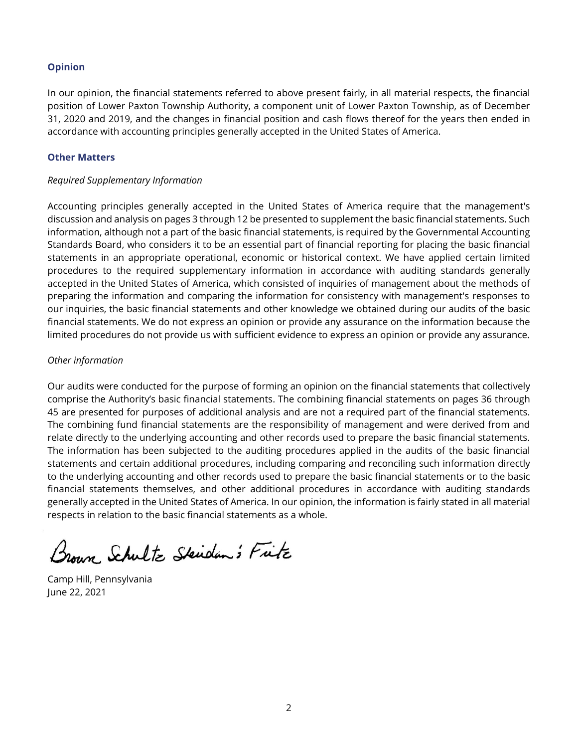#### **Opinion**

In our opinion, the financial statements referred to above present fairly, in all material respects, the financial position of Lower Paxton Township Authority, a component unit of Lower Paxton Township, as of December 31, 2020 and 2019, and the changes in financial position and cash flows thereof for the years then ended in accordance with accounting principles generally accepted in the United States of America.

#### **Other Matters**

#### *Required Supplementary Information*

Accounting principles generally accepted in the United States of America require that the management's discussion and analysis on pages 3 through 12 be presented to supplement the basic financial statements. Such information, although not a part of the basic financial statements, is required by the Governmental Accounting Standards Board, who considers it to be an essential part of financial reporting for placing the basic financial statements in an appropriate operational, economic or historical context. We have applied certain limited procedures to the required supplementary information in accordance with auditing standards generally accepted in the United States of America, which consisted of inquiries of management about the methods of preparing the information and comparing the information for consistency with management's responses to our inquiries, the basic financial statements and other knowledge we obtained during our audits of the basic financial statements. We do not express an opinion or provide any assurance on the information because the limited procedures do not provide us with sufficient evidence to express an opinion or provide any assurance.

#### *Other information*

Our audits were conducted for the purpose of forming an opinion on the financial statements that collectively comprise the Authority's basic financial statements. The combining financial statements on pages 36 through 45 are presented for purposes of additional analysis and are not a required part of the financial statements. The combining fund financial statements are the responsibility of management and were derived from and relate directly to the underlying accounting and other records used to prepare the basic financial statements. The information has been subjected to the auditing procedures applied in the audits of the basic financial statements and certain additional procedures, including comparing and reconciling such information directly to the underlying accounting and other records used to prepare the basic financial statements or to the basic financial statements themselves, and other additional procedures in accordance with auditing standards generally accepted in the United States of America. In our opinion, the information is fairly stated in all material respects in relation to the basic financial statements as a whole.

Brown, Schultz Skidan's Fitz

Camp Hill, Pennsylvania June 22, 2021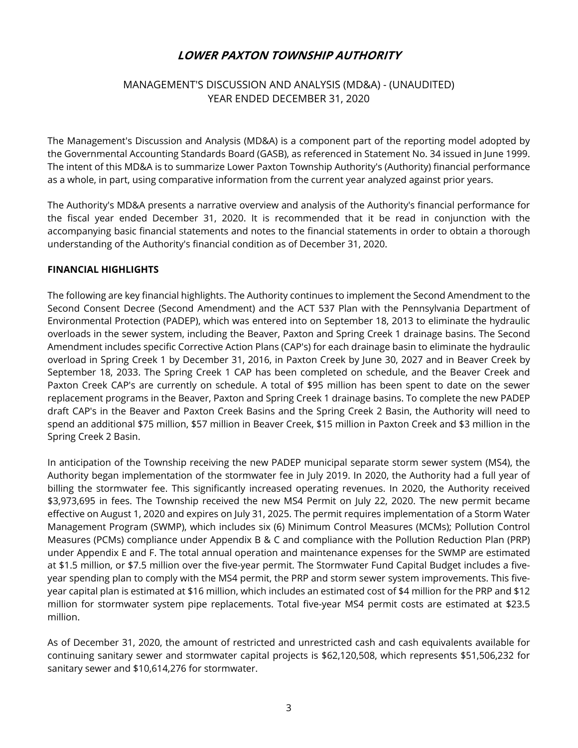## MANAGEMENT'S DISCUSSION AND ANALYSIS (MD&A) - (UNAUDITED) YEAR ENDED DECEMBER 31, 2020

The Management's Discussion and Analysis (MD&A) is a component part of the reporting model adopted by the Governmental Accounting Standards Board (GASB), as referenced in Statement No. 34 issued in June 1999. The intent of this MD&A is to summarize Lower Paxton Township Authority's (Authority) financial performance as a whole, in part, using comparative information from the current year analyzed against prior years.

The Authority's MD&A presents a narrative overview and analysis of the Authority's financial performance for the fiscal year ended December 31, 2020. It is recommended that it be read in conjunction with the accompanying basic financial statements and notes to the financial statements in order to obtain a thorough understanding of the Authority's financial condition as of December 31, 2020.

#### **FINANCIAL HIGHLIGHTS**

The following are key financial highlights. The Authority continues to implement the Second Amendment to the Second Consent Decree (Second Amendment) and the ACT 537 Plan with the Pennsylvania Department of Environmental Protection (PADEP), which was entered into on September 18, 2013 to eliminate the hydraulic overloads in the sewer system, including the Beaver, Paxton and Spring Creek 1 drainage basins. The Second Amendment includes specific Corrective Action Plans (CAP's) for each drainage basin to eliminate the hydraulic overload in Spring Creek 1 by December 31, 2016, in Paxton Creek by June 30, 2027 and in Beaver Creek by September 18, 2033. The Spring Creek 1 CAP has been completed on schedule, and the Beaver Creek and Paxton Creek CAP's are currently on schedule. A total of \$95 million has been spent to date on the sewer replacement programs in the Beaver, Paxton and Spring Creek 1 drainage basins. To complete the new PADEP draft CAP's in the Beaver and Paxton Creek Basins and the Spring Creek 2 Basin, the Authority will need to spend an additional \$75 million, \$57 million in Beaver Creek, \$15 million in Paxton Creek and \$3 million in the Spring Creek 2 Basin.

In anticipation of the Township receiving the new PADEP municipal separate storm sewer system (MS4), the Authority began implementation of the stormwater fee in July 2019. In 2020, the Authority had a full year of billing the stormwater fee. This significantly increased operating revenues. In 2020, the Authority received \$3,973,695 in fees. The Township received the new MS4 Permit on July 22, 2020. The new permit became effective on August 1, 2020 and expires on July 31, 2025. The permit requires implementation of a Storm Water Management Program (SWMP), which includes six (6) Minimum Control Measures (MCMs); Pollution Control Measures (PCMs) compliance under Appendix B & C and compliance with the Pollution Reduction Plan (PRP) under Appendix E and F. The total annual operation and maintenance expenses for the SWMP are estimated at \$1.5 million, or \$7.5 million over the five-year permit. The Stormwater Fund Capital Budget includes a fiveyear spending plan to comply with the MS4 permit, the PRP and storm sewer system improvements. This fiveyear capital plan is estimated at \$16 million, which includes an estimated cost of \$4 million for the PRP and \$12 million for stormwater system pipe replacements. Total five-year MS4 permit costs are estimated at \$23.5 million.

As of December 31, 2020, the amount of restricted and unrestricted cash and cash equivalents available for continuing sanitary sewer and stormwater capital projects is \$62,120,508, which represents \$51,506,232 for sanitary sewer and \$10,614,276 for stormwater.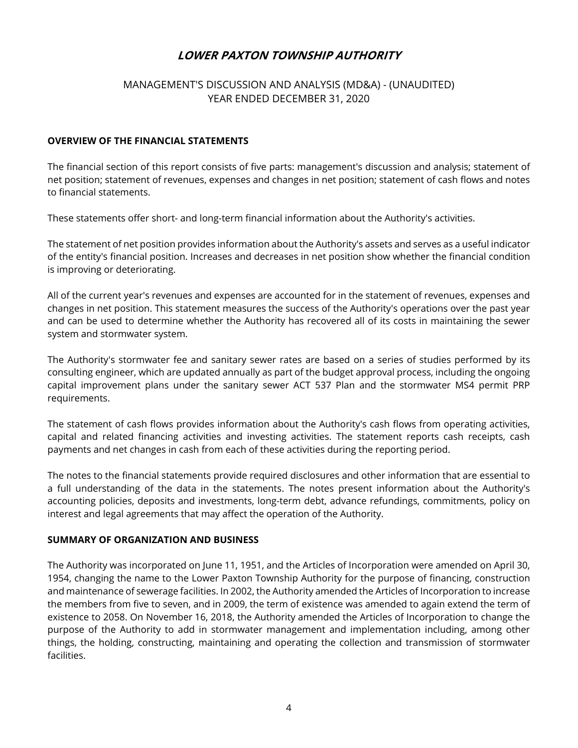## MANAGEMENT'S DISCUSSION AND ANALYSIS (MD&A) - (UNAUDITED) YEAR ENDED DECEMBER 31, 2020

#### **OVERVIEW OF THE FINANCIAL STATEMENTS**

The financial section of this report consists of five parts: management's discussion and analysis; statement of net position; statement of revenues, expenses and changes in net position; statement of cash flows and notes to financial statements.

These statements offer short- and long-term financial information about the Authority's activities.

The statement of net position provides information about the Authority's assets and serves as a useful indicator of the entity's financial position. Increases and decreases in net position show whether the financial condition is improving or deteriorating.

All of the current year's revenues and expenses are accounted for in the statement of revenues, expenses and changes in net position. This statement measures the success of the Authority's operations over the past year and can be used to determine whether the Authority has recovered all of its costs in maintaining the sewer system and stormwater system.

The Authority's stormwater fee and sanitary sewer rates are based on a series of studies performed by its consulting engineer, which are updated annually as part of the budget approval process, including the ongoing capital improvement plans under the sanitary sewer ACT 537 Plan and the stormwater MS4 permit PRP requirements.

The statement of cash flows provides information about the Authority's cash flows from operating activities, capital and related financing activities and investing activities. The statement reports cash receipts, cash payments and net changes in cash from each of these activities during the reporting period.

The notes to the financial statements provide required disclosures and other information that are essential to a full understanding of the data in the statements. The notes present information about the Authority's accounting policies, deposits and investments, long-term debt, advance refundings, commitments, policy on interest and legal agreements that may affect the operation of the Authority.

#### **SUMMARY OF ORGANIZATION AND BUSINESS**

The Authority was incorporated on June 11, 1951, and the Articles of Incorporation were amended on April 30, 1954, changing the name to the Lower Paxton Township Authority for the purpose of financing, construction and maintenance of sewerage facilities. In 2002, the Authority amended the Articles of Incorporation to increase the members from five to seven, and in 2009, the term of existence was amended to again extend the term of existence to 2058. On November 16, 2018, the Authority amended the Articles of Incorporation to change the purpose of the Authority to add in stormwater management and implementation including, among other things, the holding, constructing, maintaining and operating the collection and transmission of stormwater facilities.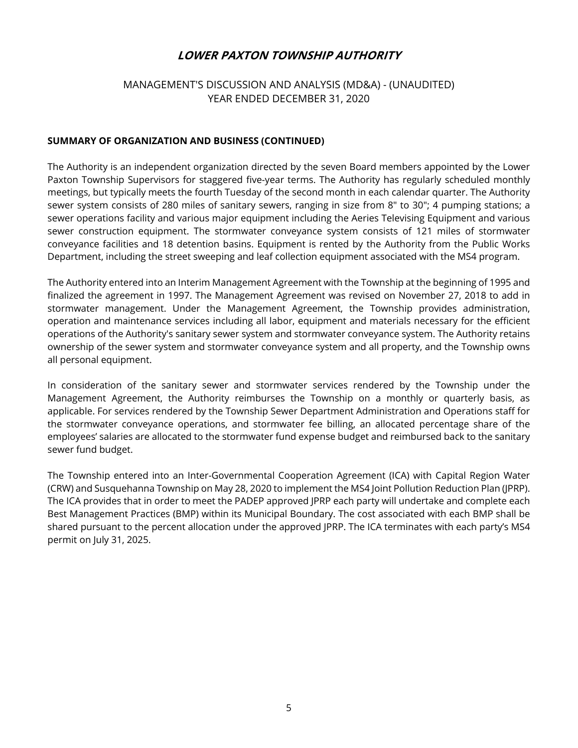## MANAGEMENT'S DISCUSSION AND ANALYSIS (MD&A) - (UNAUDITED) YEAR ENDED DECEMBER 31, 2020

#### **SUMMARY OF ORGANIZATION AND BUSINESS (CONTINUED)**

The Authority is an independent organization directed by the seven Board members appointed by the Lower Paxton Township Supervisors for staggered five-year terms. The Authority has regularly scheduled monthly meetings, but typically meets the fourth Tuesday of the second month in each calendar quarter. The Authority sewer system consists of 280 miles of sanitary sewers, ranging in size from 8" to 30"; 4 pumping stations; a sewer operations facility and various major equipment including the Aeries Televising Equipment and various sewer construction equipment. The stormwater conveyance system consists of 121 miles of stormwater conveyance facilities and 18 detention basins. Equipment is rented by the Authority from the Public Works Department, including the street sweeping and leaf collection equipment associated with the MS4 program.

The Authority entered into an Interim Management Agreement with the Township at the beginning of 1995 and finalized the agreement in 1997. The Management Agreement was revised on November 27, 2018 to add in stormwater management. Under the Management Agreement, the Township provides administration, operation and maintenance services including all labor, equipment and materials necessary for the efficient operations of the Authority's sanitary sewer system and stormwater conveyance system. The Authority retains ownership of the sewer system and stormwater conveyance system and all property, and the Township owns all personal equipment.

In consideration of the sanitary sewer and stormwater services rendered by the Township under the Management Agreement, the Authority reimburses the Township on a monthly or quarterly basis, as applicable. For services rendered by the Township Sewer Department Administration and Operations staff for the stormwater conveyance operations, and stormwater fee billing, an allocated percentage share of the employees' salaries are allocated to the stormwater fund expense budget and reimbursed back to the sanitary sewer fund budget.

The Township entered into an Inter-Governmental Cooperation Agreement (ICA) with Capital Region Water (CRW) and Susquehanna Township on May 28, 2020 to implement the MS4 Joint Pollution Reduction Plan (JPRP). The ICA provides that in order to meet the PADEP approved JPRP each party will undertake and complete each Best Management Practices (BMP) within its Municipal Boundary. The cost associated with each BMP shall be shared pursuant to the percent allocation under the approved JPRP. The ICA terminates with each party's MS4 permit on July 31, 2025.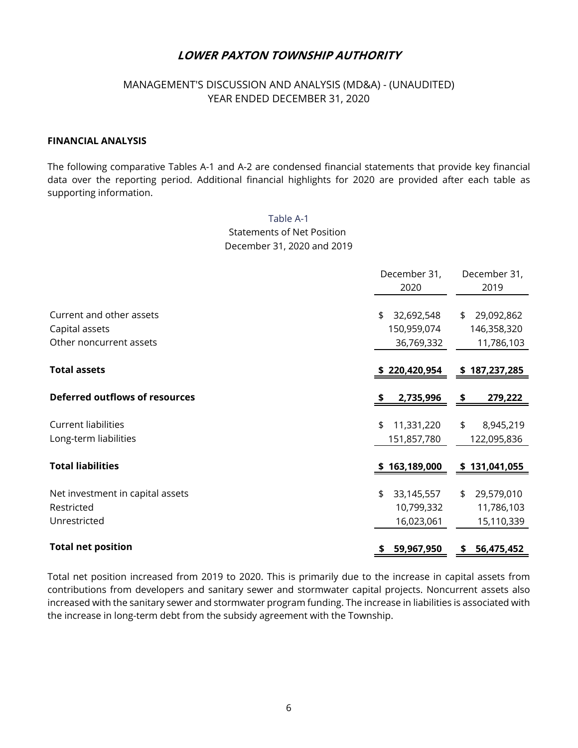## MANAGEMENT'S DISCUSSION AND ANALYSIS (MD&A) - (UNAUDITED) YEAR ENDED DECEMBER 31, 2020

#### **FINANCIAL ANALYSIS**

The following comparative Tables A-1 and A-2 are condensed financial statements that provide key financial data over the reporting period. Additional financial highlights for 2020 are provided after each table as supporting information.

> Table A-1 Statements of Net Position December 31, 2020 and 2019

|                                                                       | December 31,<br>2020                          | December 31,<br>2019                          |
|-----------------------------------------------------------------------|-----------------------------------------------|-----------------------------------------------|
| Current and other assets<br>Capital assets<br>Other noncurrent assets | 32,692,548<br>\$<br>150,959,074<br>36,769,332 | 29,092,862<br>\$<br>146,358,320<br>11,786,103 |
| <b>Total assets</b>                                                   | \$220,420,954                                 | \$187,237,285                                 |
| <b>Deferred outflows of resources</b>                                 | 2,735,996                                     | 279,222<br>\$                                 |
| <b>Current liabilities</b><br>Long-term liabilities                   | 11,331,220<br>\$<br>151,857,780               | \$<br>8,945,219<br>122,095,836                |
| <b>Total liabilities</b>                                              | 163,189,000                                   | \$131,041,055                                 |
| Net investment in capital assets<br>Restricted<br>Unrestricted        | 33,145,557<br>\$<br>10,799,332<br>16,023,061  | 29,579,010<br>\$<br>11,786,103<br>15,110,339  |
| <b>Total net position</b>                                             | 59,967,950<br>\$                              | 56,475,452<br>\$                              |

Total net position increased from 2019 to 2020. This is primarily due to the increase in capital assets from contributions from developers and sanitary sewer and stormwater capital projects. Noncurrent assets also increased with the sanitary sewer and stormwater program funding. The increase in liabilities is associated with the increase in long-term debt from the subsidy agreement with the Township.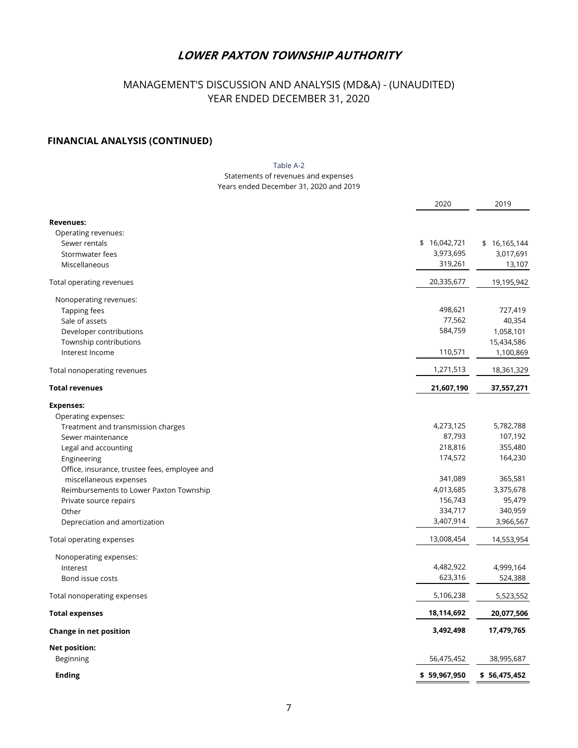# MANAGEMENT'S DISCUSSION AND ANALYSIS (MD&A) - (UNAUDITED) YEAR ENDED DECEMBER 31, 2020

## **FINANCIAL ANALYSIS (CONTINUED)**

#### Table A-2

Statements of revenues and expenses

| Years ended December 31, 2020 and 2019 |  |
|----------------------------------------|--|
|----------------------------------------|--|

|                                               | 2020         | 2019         |
|-----------------------------------------------|--------------|--------------|
| <b>Revenues:</b>                              |              |              |
| Operating revenues:                           |              |              |
| Sewer rentals                                 | \$16,042,721 | \$16,165,144 |
| Stormwater fees                               | 3,973,695    | 3,017,691    |
| Miscellaneous                                 | 319,261      | 13,107       |
| Total operating revenues                      | 20,335,677   | 19,195,942   |
| Nonoperating revenues:                        |              |              |
| <b>Tapping fees</b>                           | 498,621      | 727,419      |
| Sale of assets                                | 77,562       | 40,354       |
| Developer contributions                       | 584,759      | 1,058,101    |
| Township contributions                        |              | 15,434,586   |
| Interest Income                               | 110,571      | 1,100,869    |
| Total nonoperating revenues                   | 1,271,513    | 18,361,329   |
| <b>Total revenues</b>                         | 21,607,190   | 37,557,271   |
| <b>Expenses:</b>                              |              |              |
| Operating expenses:                           |              |              |
| Treatment and transmission charges            | 4,273,125    | 5,782,788    |
| Sewer maintenance                             | 87,793       | 107,192      |
| Legal and accounting                          | 218,816      | 355,480      |
| Engineering                                   | 174,572      | 164,230      |
| Office, insurance, trustee fees, employee and |              |              |
| miscellaneous expenses                        | 341,089      | 365,581      |
| Reimbursements to Lower Paxton Township       | 4,013,685    | 3,375,678    |
| Private source repairs                        | 156,743      | 95,479       |
| Other                                         | 334,717      | 340,959      |
| Depreciation and amortization                 | 3,407,914    | 3,966,567    |
| Total operating expenses                      | 13,008,454   | 14,553,954   |
| Nonoperating expenses:                        |              |              |
| Interest                                      | 4,482,922    | 4,999,164    |
| Bond issue costs                              | 623,316      | 524,388      |
| Total nonoperating expenses                   | 5,106,238    | 5,523,552    |
| <b>Total expenses</b>                         | 18,114,692   | 20,077,506   |
| Change in net position                        | 3,492,498    | 17,479,765   |
| <b>Net position:</b>                          |              |              |
| <b>Beginning</b>                              | 56,475,452   | 38,995,687   |
| <b>Ending</b>                                 | \$59,967,950 | \$56,475,452 |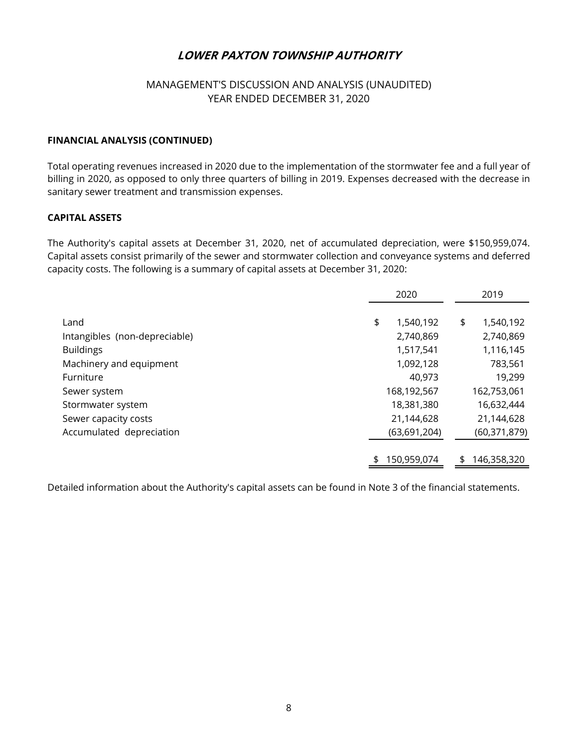## MANAGEMENT'S DISCUSSION AND ANALYSIS (UNAUDITED) YEAR ENDED DECEMBER 31, 2020

#### **FINANCIAL ANALYSIS (CONTINUED)**

Total operating revenues increased in 2020 due to the implementation of the stormwater fee and a full year of billing in 2020, as opposed to only three quarters of billing in 2019. Expenses decreased with the decrease in sanitary sewer treatment and transmission expenses.

#### **CAPITAL ASSETS**

The Authority's capital assets at December 31, 2020, net of accumulated depreciation, were \$150,959,074. Capital assets consist primarily of the sewer and stormwater collection and conveyance systems and deferred capacity costs. The following is a summary of capital assets at December 31, 2020:

|                               | 2020              | 2019              |
|-------------------------------|-------------------|-------------------|
| Land                          | \$<br>1,540,192   | \$<br>1,540,192   |
| Intangibles (non-depreciable) | 2,740,869         | 2,740,869         |
| <b>Buildings</b>              | 1,517,541         | 1,116,145         |
| Machinery and equipment       | 1,092,128         | 783,561           |
| Furniture                     | 40,973            | 19,299            |
| Sewer system                  | 168,192,567       | 162,753,061       |
| Stormwater system             | 18,381,380        | 16,632,444        |
| Sewer capacity costs          | 21,144,628        | 21,144,628        |
| Accumulated depreciation      | (63,691,204)      | (60, 371, 879)    |
|                               | 150,959,074<br>\$ | \$<br>146,358,320 |

Detailed information about the Authority's capital assets can be found in Note 3 of the financial statements.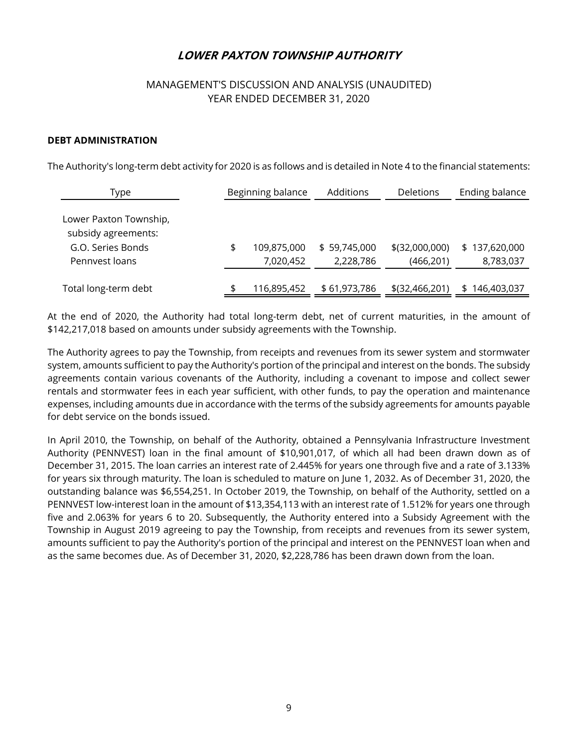## MANAGEMENT'S DISCUSSION AND ANALYSIS (UNAUDITED) YEAR ENDED DECEMBER 31, 2020

#### **DEBT ADMINISTRATION**

The Authority's long-term debt activity for 2020 is as follows and is detailed in Note 4 to the financial statements:

| Type                                                                                 | Beginning balance              | Additions                 | <b>Deletions</b>               | Ending balance                 |
|--------------------------------------------------------------------------------------|--------------------------------|---------------------------|--------------------------------|--------------------------------|
| Lower Paxton Township,<br>subsidy agreements:<br>G.O. Series Bonds<br>Pennyest loans | \$<br>109,875,000<br>7,020,452 | \$59,745,000<br>2,228,786 | $$$ (32,000,000)<br>(466, 201) | 137,620,000<br>\$<br>8,783,037 |
| Total long-term debt                                                                 | 116,895,452                    | \$61,973,786              | $$$ (32,466,201)               | 146,403,037<br>\$              |

At the end of 2020, the Authority had total long-term debt, net of current maturities, in the amount of \$142,217,018 based on amounts under subsidy agreements with the Township.

The Authority agrees to pay the Township, from receipts and revenues from its sewer system and stormwater system, amounts sufficient to pay the Authority's portion of the principal and interest on the bonds. The subsidy agreements contain various covenants of the Authority, including a covenant to impose and collect sewer rentals and stormwater fees in each year sufficient, with other funds, to pay the operation and maintenance expenses, including amounts due in accordance with the terms of the subsidy agreements for amounts payable for debt service on the bonds issued.

In April 2010, the Township, on behalf of the Authority, obtained a Pennsylvania Infrastructure Investment Authority (PENNVEST) loan in the final amount of \$10,901,017, of which all had been drawn down as of December 31, 2015. The loan carries an interest rate of 2.445% for years one through five and a rate of 3.133% for years six through maturity. The loan is scheduled to mature on June 1, 2032. As of December 31, 2020, the outstanding balance was \$6,554,251. In October 2019, the Township, on behalf of the Authority, settled on a PENNVEST low-interest loan in the amount of \$13,354,113 with an interest rate of 1.512% for years one through five and 2.063% for years 6 to 20. Subsequently, the Authority entered into a Subsidy Agreement with the Township in August 2019 agreeing to pay the Township, from receipts and revenues from its sewer system, amounts sufficient to pay the Authority's portion of the principal and interest on the PENNVEST loan when and as the same becomes due. As of December 31, 2020, \$2,228,786 has been drawn down from the loan.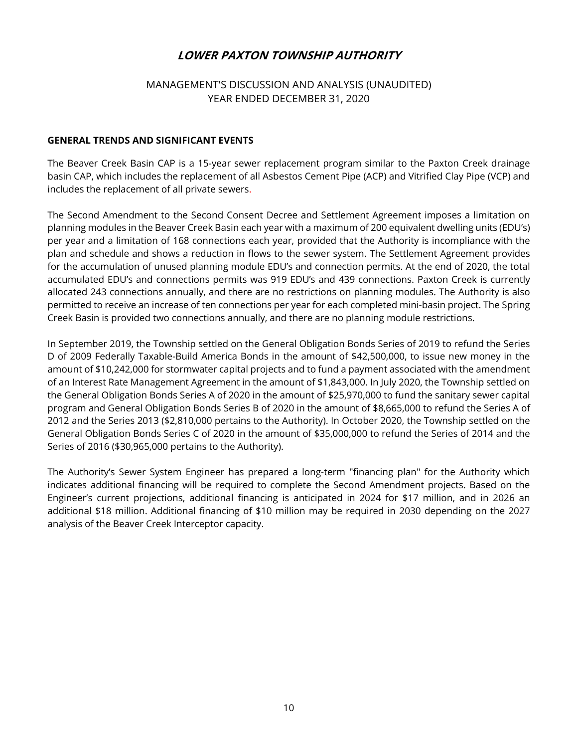## MANAGEMENT'S DISCUSSION AND ANALYSIS (UNAUDITED) YEAR ENDED DECEMBER 31, 2020

#### **GENERAL TRENDS AND SIGNIFICANT EVENTS**

The Beaver Creek Basin CAP is a 15-year sewer replacement program similar to the Paxton Creek drainage basin CAP, which includes the replacement of all Asbestos Cement Pipe (ACP) and Vitrified Clay Pipe (VCP) and includes the replacement of all private sewers.

The Second Amendment to the Second Consent Decree and Settlement Agreement imposes a limitation on planning modules in the Beaver Creek Basin each year with a maximum of 200 equivalent dwelling units (EDU's) per year and a limitation of 168 connections each year, provided that the Authority is incompliance with the plan and schedule and shows a reduction in flows to the sewer system. The Settlement Agreement provides for the accumulation of unused planning module EDU's and connection permits. At the end of 2020, the total accumulated EDU's and connections permits was 919 EDU's and 439 connections. Paxton Creek is currently allocated 243 connections annually, and there are no restrictions on planning modules. The Authority is also permitted to receive an increase of ten connections per year for each completed mini-basin project. The Spring Creek Basin is provided two connections annually, and there are no planning module restrictions.

In September 2019, the Township settled on the General Obligation Bonds Series of 2019 to refund the Series D of 2009 Federally Taxable-Build America Bonds in the amount of \$42,500,000, to issue new money in the amount of \$10,242,000 for stormwater capital projects and to fund a payment associated with the amendment of an Interest Rate Management Agreement in the amount of \$1,843,000. In July 2020, the Township settled on the General Obligation Bonds Series A of 2020 in the amount of \$25,970,000 to fund the sanitary sewer capital program and General Obligation Bonds Series B of 2020 in the amount of \$8,665,000 to refund the Series A of 2012 and the Series 2013 (\$2,810,000 pertains to the Authority). In October 2020, the Township settled on the General Obligation Bonds Series C of 2020 in the amount of \$35,000,000 to refund the Series of 2014 and the Series of 2016 (\$30,965,000 pertains to the Authority).

The Authority's Sewer System Engineer has prepared a long-term "financing plan" for the Authority which indicates additional financing will be required to complete the Second Amendment projects. Based on the Engineer's current projections, additional financing is anticipated in 2024 for \$17 million, and in 2026 an additional \$18 million. Additional financing of \$10 million may be required in 2030 depending on the 2027 analysis of the Beaver Creek Interceptor capacity.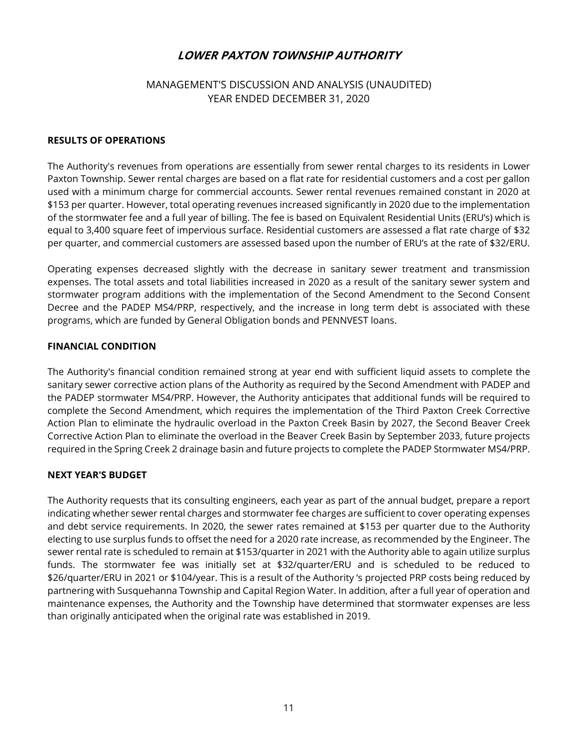## MANAGEMENT'S DISCUSSION AND ANALYSIS (UNAUDITED) YEAR ENDED DECEMBER 31, 2020

#### **RESULTS OF OPERATIONS**

The Authority's revenues from operations are essentially from sewer rental charges to its residents in Lower Paxton Township. Sewer rental charges are based on a flat rate for residential customers and a cost per gallon used with a minimum charge for commercial accounts. Sewer rental revenues remained constant in 2020 at \$153 per quarter. However, total operating revenues increased significantly in 2020 due to the implementation of the stormwater fee and a full year of billing. The fee is based on Equivalent Residential Units (ERU's) which is equal to 3,400 square feet of impervious surface. Residential customers are assessed a flat rate charge of \$32 per quarter, and commercial customers are assessed based upon the number of ERU's at the rate of \$32/ERU.

Operating expenses decreased slightly with the decrease in sanitary sewer treatment and transmission expenses. The total assets and total liabilities increased in 2020 as a result of the sanitary sewer system and stormwater program additions with the implementation of the Second Amendment to the Second Consent Decree and the PADEP MS4/PRP, respectively, and the increase in long term debt is associated with these programs, which are funded by General Obligation bonds and PENNVEST loans.

#### **FINANCIAL CONDITION**

The Authority's financial condition remained strong at year end with sufficient liquid assets to complete the sanitary sewer corrective action plans of the Authority as required by the Second Amendment with PADEP and the PADEP stormwater MS4/PRP. However, the Authority anticipates that additional funds will be required to complete the Second Amendment, which requires the implementation of the Third Paxton Creek Corrective Action Plan to eliminate the hydraulic overload in the Paxton Creek Basin by 2027, the Second Beaver Creek Corrective Action Plan to eliminate the overload in the Beaver Creek Basin by September 2033, future projects required in the Spring Creek 2 drainage basin and future projects to complete the PADEP Stormwater MS4/PRP.

#### **NEXT YEAR'S BUDGET**

The Authority requests that its consulting engineers, each year as part of the annual budget, prepare a report indicating whether sewer rental charges and stormwater fee charges are sufficient to cover operating expenses and debt service requirements. In 2020, the sewer rates remained at \$153 per quarter due to the Authority electing to use surplus funds to offset the need for a 2020 rate increase, as recommended by the Engineer. The sewer rental rate is scheduled to remain at \$153/quarter in 2021 with the Authority able to again utilize surplus funds. The stormwater fee was initially set at \$32/quarter/ERU and is scheduled to be reduced to \$26/quarter/ERU in 2021 or \$104/year. This is a result of the Authority 's projected PRP costs being reduced by partnering with Susquehanna Township and Capital Region Water. In addition, after a full year of operation and maintenance expenses, the Authority and the Township have determined that stormwater expenses are less than originally anticipated when the original rate was established in 2019.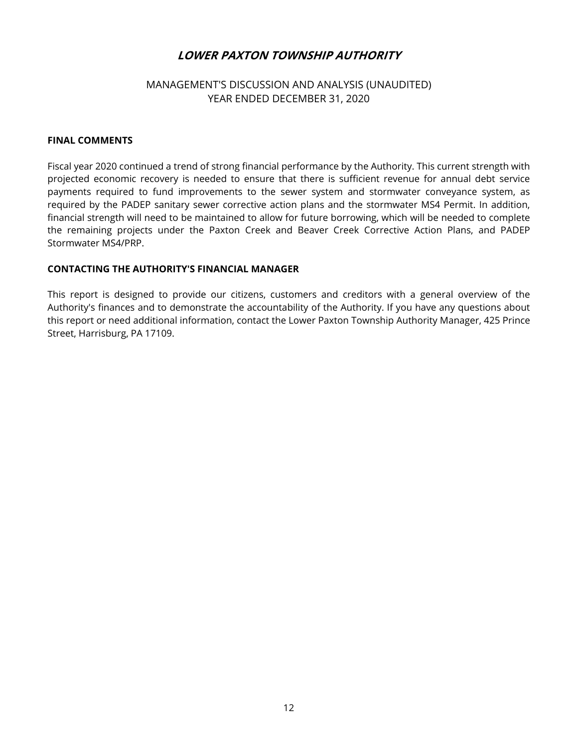## MANAGEMENT'S DISCUSSION AND ANALYSIS (UNAUDITED) YEAR ENDED DECEMBER 31, 2020

#### **FINAL COMMENTS**

Fiscal year 2020 continued a trend of strong financial performance by the Authority. This current strength with projected economic recovery is needed to ensure that there is sufficient revenue for annual debt service payments required to fund improvements to the sewer system and stormwater conveyance system, as required by the PADEP sanitary sewer corrective action plans and the stormwater MS4 Permit. In addition, financial strength will need to be maintained to allow for future borrowing, which will be needed to complete the remaining projects under the Paxton Creek and Beaver Creek Corrective Action Plans, and PADEP Stormwater MS4/PRP.

#### **CONTACTING THE AUTHORITY'S FINANCIAL MANAGER**

This report is designed to provide our citizens, customers and creditors with a general overview of the Authority's finances and to demonstrate the accountability of the Authority. If you have any questions about this report or need additional information, contact the Lower Paxton Township Authority Manager, 425 Prince Street, Harrisburg, PA 17109.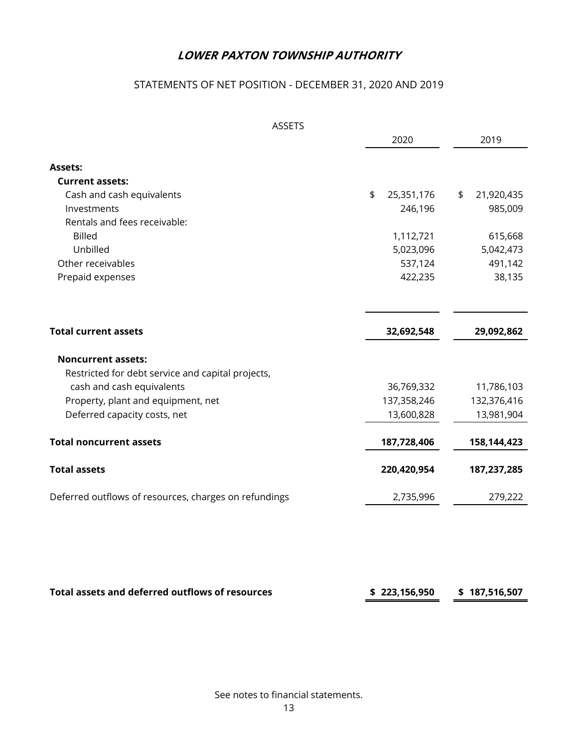# STATEMENTS OF NET POSITION - DECEMBER 31, 2020 AND 2019

| <b>ASSETS</b>                                         |                  |                             |
|-------------------------------------------------------|------------------|-----------------------------|
|                                                       | 2020             | 2019                        |
| <b>Assets:</b>                                        |                  |                             |
| <b>Current assets:</b>                                |                  |                             |
| Cash and cash equivalents                             | \$<br>25,351,176 | $\frac{1}{2}$<br>21,920,435 |
| Investments                                           | 246,196          | 985,009                     |
| Rentals and fees receivable:                          |                  |                             |
| <b>Billed</b>                                         | 1,112,721        | 615,668                     |
| Unbilled                                              | 5,023,096        | 5,042,473                   |
| Other receivables                                     | 537,124          | 491,142                     |
| Prepaid expenses                                      | 422,235          | 38,135                      |
|                                                       |                  |                             |
| <b>Total current assets</b>                           | 32,692,548       | 29,092,862                  |
| <b>Noncurrent assets:</b>                             |                  |                             |
| Restricted for debt service and capital projects,     |                  |                             |
| cash and cash equivalents                             | 36,769,332       | 11,786,103                  |
| Property, plant and equipment, net                    | 137,358,246      | 132,376,416                 |
| Deferred capacity costs, net                          | 13,600,828       | 13,981,904                  |
| <b>Total noncurrent assets</b>                        | 187,728,406      | 158,144,423                 |
| <b>Total assets</b>                                   | 220,420,954      | 187,237,285                 |
| Deferred outflows of resources, charges on refundings | 2,735,996        | 279,222                     |
|                                                       |                  |                             |

| Total assets and deferred outflows of resources | \$223,156,950 | \$187,516,507 |
|-------------------------------------------------|---------------|---------------|
|-------------------------------------------------|---------------|---------------|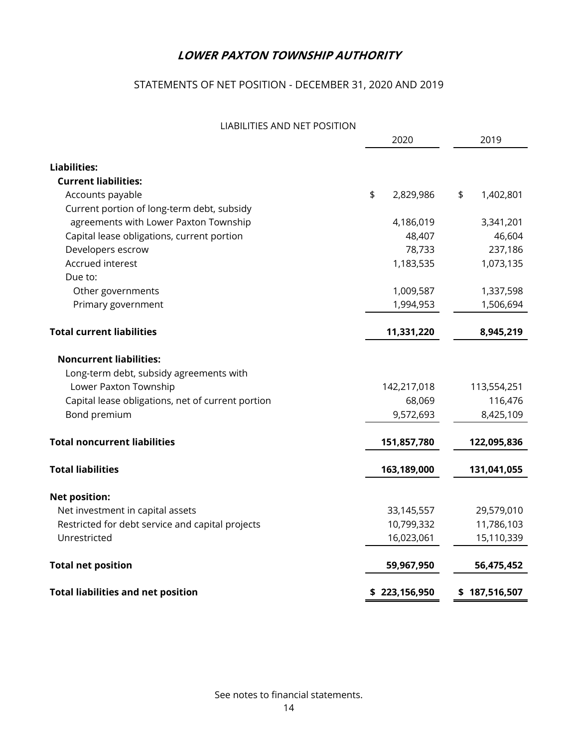# STATEMENTS OF NET POSITION - DECEMBER 31, 2020 AND 2019

| LIABILITIES AND NET POSITION |  |  |
|------------------------------|--|--|
|                              |  |  |

|                                                   | 2020            | 2019            |
|---------------------------------------------------|-----------------|-----------------|
|                                                   |                 |                 |
| <b>Liabilities:</b>                               |                 |                 |
| <b>Current liabilities:</b>                       |                 |                 |
| Accounts payable                                  | \$<br>2,829,986 | 1,402,801<br>\$ |
| Current portion of long-term debt, subsidy        |                 |                 |
| agreements with Lower Paxton Township             | 4,186,019       | 3,341,201       |
| Capital lease obligations, current portion        | 48,407          | 46,604          |
| Developers escrow                                 | 78,733          | 237,186         |
| Accrued interest                                  | 1,183,535       | 1,073,135       |
| Due to:                                           |                 |                 |
| Other governments                                 | 1,009,587       | 1,337,598       |
| Primary government                                | 1,994,953       | 1,506,694       |
| <b>Total current liabilities</b>                  | 11,331,220      | 8,945,219       |
| <b>Noncurrent liabilities:</b>                    |                 |                 |
| Long-term debt, subsidy agreements with           |                 |                 |
| Lower Paxton Township                             | 142,217,018     | 113,554,251     |
| Capital lease obligations, net of current portion | 68,069          | 116,476         |
| Bond premium                                      | 9,572,693       | 8,425,109       |
| <b>Total noncurrent liabilities</b>               | 151,857,780     | 122,095,836     |
| <b>Total liabilities</b>                          | 163,189,000     | 131,041,055     |
| <b>Net position:</b>                              |                 |                 |
| Net investment in capital assets                  | 33,145,557      | 29,579,010      |
| Restricted for debt service and capital projects  | 10,799,332      | 11,786,103      |
| Unrestricted                                      | 16,023,061      | 15,110,339      |
| <b>Total net position</b>                         | 59,967,950      | 56,475,452      |
| <b>Total liabilities and net position</b>         | \$223,156,950   | \$187,516,507   |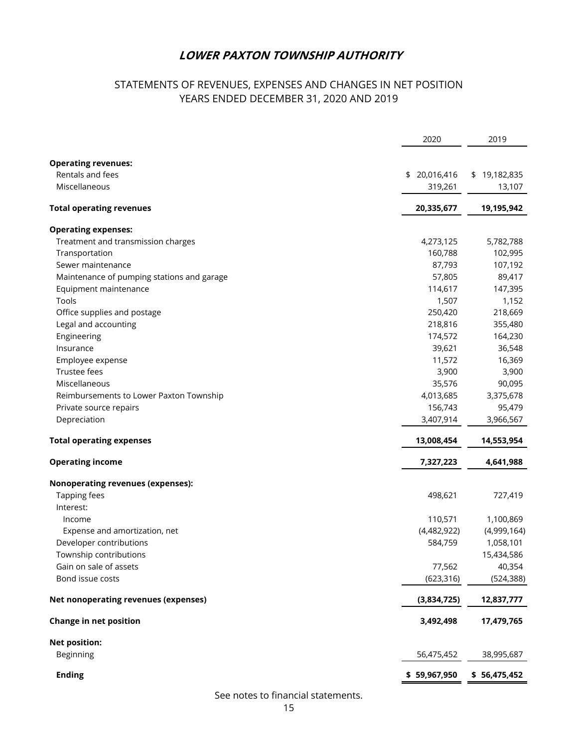# STATEMENTS OF REVENUES, EXPENSES AND CHANGES IN NET POSITION YEARS ENDED DECEMBER 31, 2020 AND 2019

|                                                | 2020             | 2019         |
|------------------------------------------------|------------------|--------------|
|                                                |                  |              |
| <b>Operating revenues:</b><br>Rentals and fees | 20,016,416<br>\$ | \$19,182,835 |
| Miscellaneous                                  | 319,261          | 13,107       |
|                                                |                  |              |
| <b>Total operating revenues</b>                | 20,335,677       | 19,195,942   |
| <b>Operating expenses:</b>                     |                  |              |
| Treatment and transmission charges             | 4,273,125        | 5,782,788    |
| Transportation                                 | 160,788          | 102,995      |
| Sewer maintenance                              | 87,793           | 107,192      |
| Maintenance of pumping stations and garage     | 57,805           | 89,417       |
| Equipment maintenance                          | 114,617          | 147,395      |
| Tools                                          | 1,507            | 1,152        |
| Office supplies and postage                    | 250,420          | 218,669      |
| Legal and accounting                           | 218,816          | 355,480      |
| Engineering                                    | 174,572          | 164,230      |
| Insurance                                      | 39,621           | 36,548       |
| Employee expense                               | 11,572           | 16,369       |
| Trustee fees                                   | 3,900            | 3,900        |
| Miscellaneous                                  | 35,576           | 90,095       |
| Reimbursements to Lower Paxton Township        | 4,013,685        | 3,375,678    |
| Private source repairs                         | 156,743          | 95,479       |
| Depreciation                                   | 3,407,914        | 3,966,567    |
| <b>Total operating expenses</b>                | 13,008,454       | 14,553,954   |
| <b>Operating income</b>                        | 7,327,223        | 4,641,988    |
| <b>Nonoperating revenues (expenses):</b>       |                  |              |
| Tapping fees                                   | 498,621          | 727,419      |
| Interest:                                      |                  |              |
| Income                                         | 110,571          | 1,100,869    |
| Expense and amortization, net                  | (4,482,922)      | (4,999,164)  |
| Developer contributions                        | 584,759          | 1,058,101    |
| Township contributions                         |                  | 15,434,586   |
| Gain on sale of assets                         | 77,562           | 40,354       |
| Bond issue costs                               | (623, 316)       | (524, 388)   |
|                                                |                  |              |
| Net nonoperating revenues (expenses)           | (3,834,725)      | 12,837,777   |
| <b>Change in net position</b>                  | 3,492,498        | 17,479,765   |
| <b>Net position:</b>                           |                  |              |
| Beginning                                      | 56,475,452       | 38,995,687   |
| <b>Ending</b>                                  | \$59,967,950     | \$56,475,452 |

See notes to financial statements.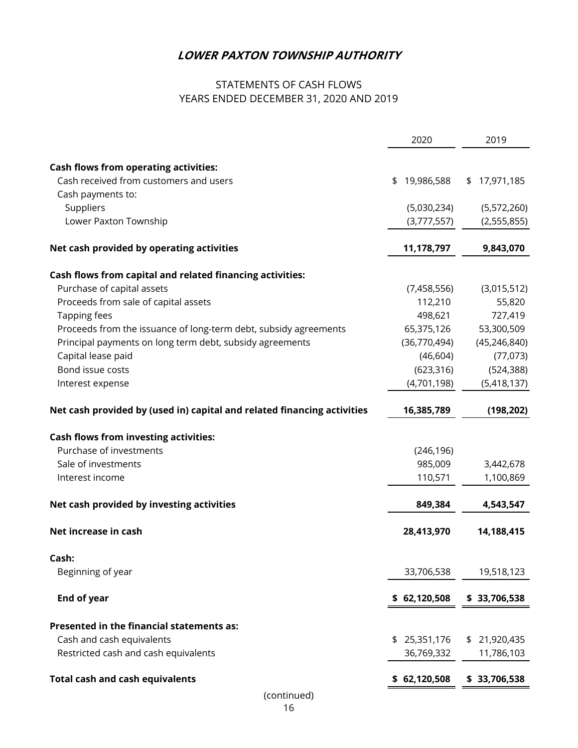# STATEMENTS OF CASH FLOWS YEARS ENDED DECEMBER 31, 2020 AND 2019

|                                                                         | 2020             | 2019              |
|-------------------------------------------------------------------------|------------------|-------------------|
| <b>Cash flows from operating activities:</b>                            |                  |                   |
| Cash received from customers and users                                  | 19,986,588<br>\$ | 17,971,185<br>\$  |
| Cash payments to:                                                       |                  |                   |
| Suppliers                                                               | (5,030,234)      | (5,572,260)       |
| Lower Paxton Township                                                   | (3,777,557)      | (2,555,855)       |
| Net cash provided by operating activities                               | 11,178,797       | 9,843,070         |
| Cash flows from capital and related financing activities:               |                  |                   |
| Purchase of capital assets                                              | (7,458,556)      | (3,015,512)       |
| Proceeds from sale of capital assets                                    | 112,210          | 55,820            |
| <b>Tapping fees</b>                                                     | 498,621          | 727,419           |
| Proceeds from the issuance of long-term debt, subsidy agreements        | 65,375,126       | 53,300,509        |
| Principal payments on long term debt, subsidy agreements                | (36,770,494)     | (45, 246, 840)    |
| Capital lease paid                                                      | (46, 604)        | (77, 073)         |
| Bond issue costs                                                        | (623, 316)       | (524, 388)        |
| Interest expense                                                        | (4,701,198)      | (5,418,137)       |
| Net cash provided by (used in) capital and related financing activities | 16,385,789       | (198, 202)        |
| <b>Cash flows from investing activities:</b>                            |                  |                   |
| Purchase of investments                                                 | (246, 196)       |                   |
| Sale of investments                                                     | 985,009          | 3,442,678         |
| Interest income                                                         | 110,571          | 1,100,869         |
| Net cash provided by investing activities                               | 849,384          | 4,543,547         |
| Net increase in cash                                                    | 28,413,970       | 14,188,415        |
| Cash:                                                                   |                  |                   |
| Beginning of year                                                       | 33,706,538       | 19,518,123        |
| <b>End of year</b>                                                      | \$62,120,508     | \$33,706,538      |
| Presented in the financial statements as:                               |                  |                   |
| Cash and cash equivalents                                               | 25,351,176<br>\$ | 21,920,435<br>\$  |
| Restricted cash and cash equivalents                                    | 36,769,332       | 11,786,103        |
| <b>Total cash and cash equivalents</b>                                  | 62,120,508       | 33,706,538<br>\$. |
| (continued)                                                             |                  |                   |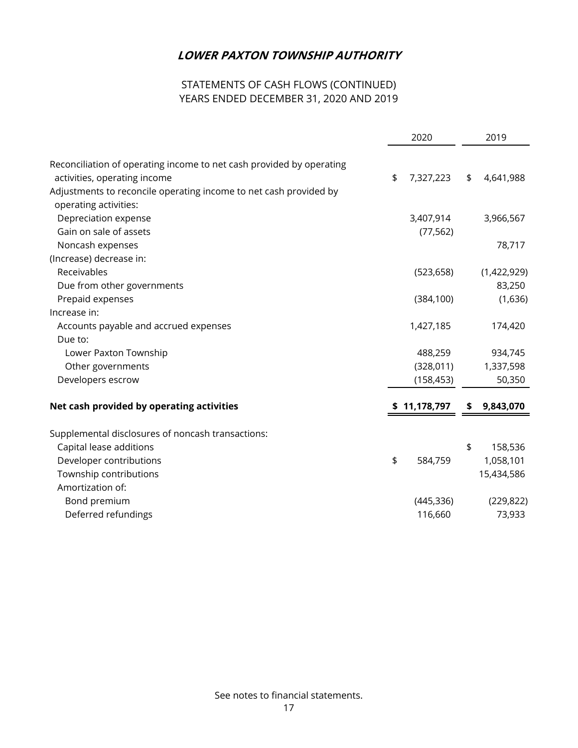# STATEMENTS OF CASH FLOWS (CONTINUED) YEARS ENDED DECEMBER 31, 2020 AND 2019

|                                                                      | 2020            | 2019            |
|----------------------------------------------------------------------|-----------------|-----------------|
| Reconciliation of operating income to net cash provided by operating |                 |                 |
| activities, operating income                                         | \$<br>7,327,223 | \$<br>4,641,988 |
| Adjustments to reconcile operating income to net cash provided by    |                 |                 |
| operating activities:                                                |                 |                 |
| Depreciation expense                                                 | 3,407,914       | 3,966,567       |
| Gain on sale of assets                                               | (77, 562)       |                 |
| Noncash expenses                                                     |                 | 78,717          |
| (Increase) decrease in:                                              |                 |                 |
| Receivables                                                          | (523, 658)      | (1,422,929)     |
| Due from other governments                                           |                 | 83,250          |
| Prepaid expenses                                                     | (384, 100)      | (1,636)         |
| Increase in:                                                         |                 |                 |
| Accounts payable and accrued expenses                                | 1,427,185       | 174,420         |
| Due to:                                                              |                 |                 |
| Lower Paxton Township                                                | 488,259         | 934,745         |
| Other governments                                                    | (328,011)       | 1,337,598       |
| Developers escrow                                                    | (158, 453)      | 50,350          |
| Net cash provided by operating activities                            | \$11,178,797    | \$<br>9,843,070 |
| Supplemental disclosures of noncash transactions:                    |                 |                 |
| Capital lease additions                                              |                 | \$<br>158,536   |
| Developer contributions                                              | \$<br>584,759   | 1,058,101       |
| Township contributions                                               |                 | 15,434,586      |
| Amortization of:                                                     |                 |                 |
| Bond premium                                                         | (445, 336)      | (229, 822)      |
|                                                                      |                 |                 |
| Deferred refundings                                                  | 116,660         | 73,933          |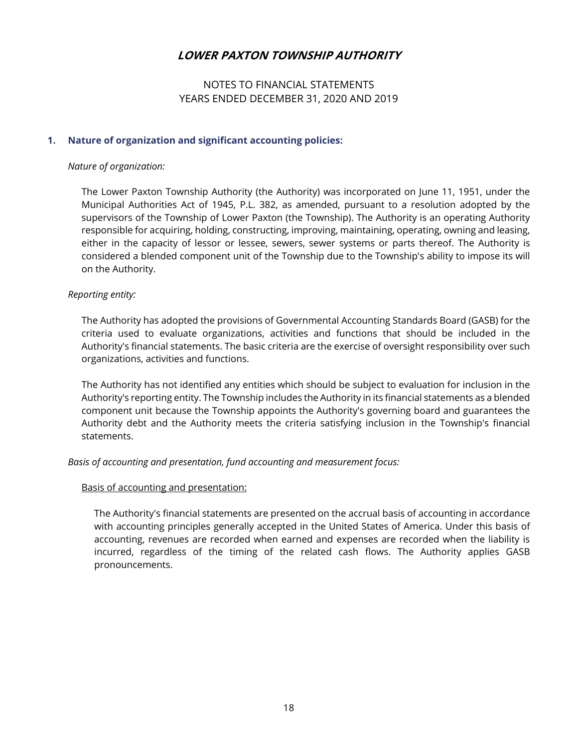## NOTES TO FINANCIAL STATEMENTS YEARS ENDED DECEMBER 31, 2020 AND 2019

#### **1. Nature of organization and significant accounting policies:**

#### *Nature of organization:*

 The Lower Paxton Township Authority (the Authority) was incorporated on June 11, 1951, under the Municipal Authorities Act of 1945, P.L. 382, as amended, pursuant to a resolution adopted by the supervisors of the Township of Lower Paxton (the Township). The Authority is an operating Authority responsible for acquiring, holding, constructing, improving, maintaining, operating, owning and leasing, either in the capacity of lessor or lessee, sewers, sewer systems or parts thereof. The Authority is considered a blended component unit of the Township due to the Township's ability to impose its will on the Authority.

#### *Reporting entity:*

 The Authority has adopted the provisions of Governmental Accounting Standards Board (GASB) for the criteria used to evaluate organizations, activities and functions that should be included in the Authority's financial statements. The basic criteria are the exercise of oversight responsibility over such organizations, activities and functions.

 The Authority has not identified any entities which should be subject to evaluation for inclusion in the Authority's reporting entity. The Township includes the Authority in its financial statements as a blended component unit because the Township appoints the Authority's governing board and guarantees the Authority debt and the Authority meets the criteria satisfying inclusion in the Township's financial statements.

#### *Basis of accounting and presentation, fund accounting and measurement focus:*

#### Basis of accounting and presentation:

 The Authority's financial statements are presented on the accrual basis of accounting in accordance with accounting principles generally accepted in the United States of America. Under this basis of accounting, revenues are recorded when earned and expenses are recorded when the liability is incurred, regardless of the timing of the related cash flows. The Authority applies GASB pronouncements.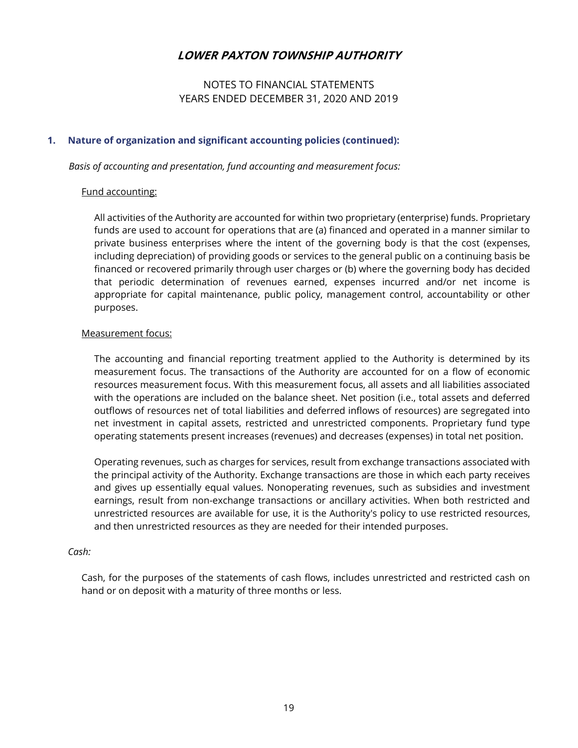## NOTES TO FINANCIAL STATEMENTS YEARS ENDED DECEMBER 31, 2020 AND 2019

#### **1. Nature of organization and significant accounting policies (continued):**

*Basis of accounting and presentation, fund accounting and measurement focus:* 

#### Fund accounting:

 All activities of the Authority are accounted for within two proprietary (enterprise) funds. Proprietary funds are used to account for operations that are (a) financed and operated in a manner similar to private business enterprises where the intent of the governing body is that the cost (expenses, including depreciation) of providing goods or services to the general public on a continuing basis be financed or recovered primarily through user charges or (b) where the governing body has decided that periodic determination of revenues earned, expenses incurred and/or net income is appropriate for capital maintenance, public policy, management control, accountability or other purposes.

#### Measurement focus:

 The accounting and financial reporting treatment applied to the Authority is determined by its measurement focus. The transactions of the Authority are accounted for on a flow of economic resources measurement focus. With this measurement focus, all assets and all liabilities associated with the operations are included on the balance sheet. Net position (i.e., total assets and deferred outflows of resources net of total liabilities and deferred inflows of resources) are segregated into net investment in capital assets, restricted and unrestricted components. Proprietary fund type operating statements present increases (revenues) and decreases (expenses) in total net position.

 Operating revenues, such as charges for services, result from exchange transactions associated with the principal activity of the Authority. Exchange transactions are those in which each party receives and gives up essentially equal values. Nonoperating revenues, such as subsidies and investment earnings, result from non-exchange transactions or ancillary activities. When both restricted and unrestricted resources are available for use, it is the Authority's policy to use restricted resources, and then unrestricted resources as they are needed for their intended purposes.

#### *Cash:*

 Cash, for the purposes of the statements of cash flows, includes unrestricted and restricted cash on hand or on deposit with a maturity of three months or less.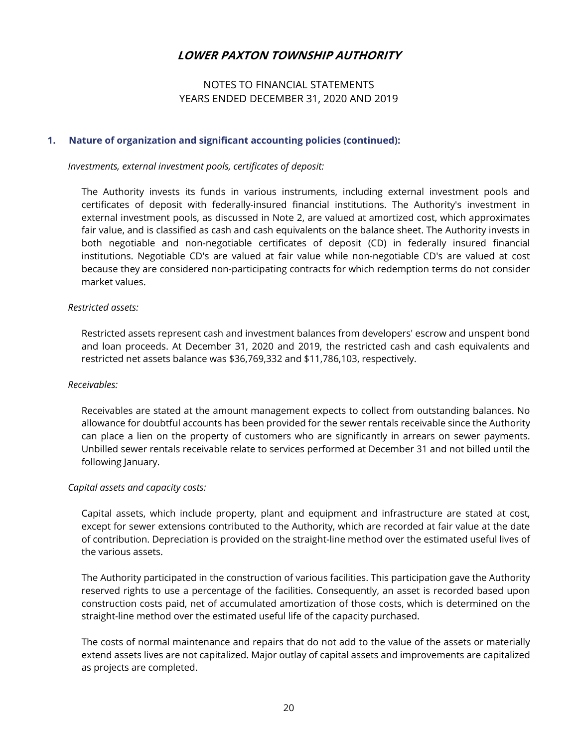## NOTES TO FINANCIAL STATEMENTS YEARS ENDED DECEMBER 31, 2020 AND 2019

#### **1. Nature of organization and significant accounting policies (continued):**

 *Investments, external investment pools, certificates of deposit:* 

 The Authority invests its funds in various instruments, including external investment pools and certificates of deposit with federally-insured financial institutions. The Authority's investment in external investment pools, as discussed in Note 2, are valued at amortized cost, which approximates fair value, and is classified as cash and cash equivalents on the balance sheet. The Authority invests in both negotiable and non-negotiable certificates of deposit (CD) in federally insured financial institutions. Negotiable CD's are valued at fair value while non-negotiable CD's are valued at cost because they are considered non-participating contracts for which redemption terms do not consider market values.

#### *Restricted assets:*

 Restricted assets represent cash and investment balances from developers' escrow and unspent bond and loan proceeds. At December 31, 2020 and 2019, the restricted cash and cash equivalents and restricted net assets balance was \$36,769,332 and \$11,786,103, respectively.

#### *Receivables:*

 Receivables are stated at the amount management expects to collect from outstanding balances. No allowance for doubtful accounts has been provided for the sewer rentals receivable since the Authority can place a lien on the property of customers who are significantly in arrears on sewer payments. Unbilled sewer rentals receivable relate to services performed at December 31 and not billed until the following January.

#### *Capital assets and capacity costs:*

 Capital assets, which include property, plant and equipment and infrastructure are stated at cost, except for sewer extensions contributed to the Authority, which are recorded at fair value at the date of contribution. Depreciation is provided on the straight-line method over the estimated useful lives of the various assets.

 The Authority participated in the construction of various facilities. This participation gave the Authority reserved rights to use a percentage of the facilities. Consequently, an asset is recorded based upon construction costs paid, net of accumulated amortization of those costs, which is determined on the straight-line method over the estimated useful life of the capacity purchased.

 The costs of normal maintenance and repairs that do not add to the value of the assets or materially extend assets lives are not capitalized. Major outlay of capital assets and improvements are capitalized as projects are completed.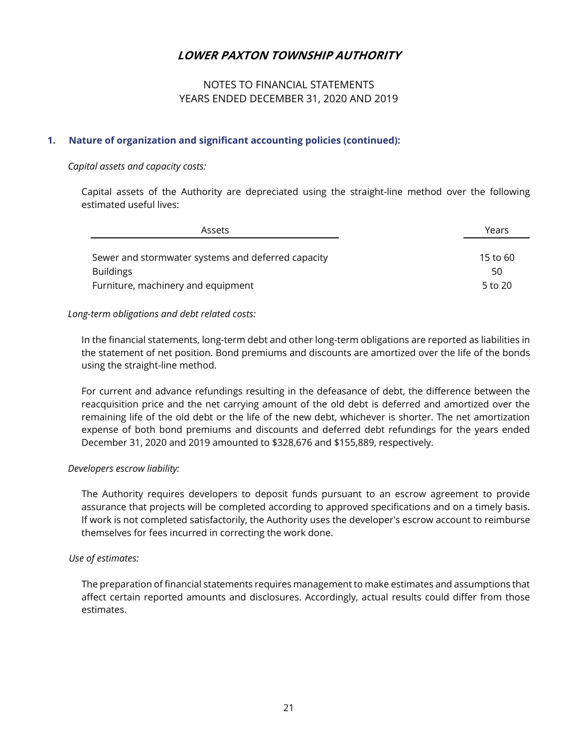## NOTES TO FINANCIAL STATEMENTS YEARS ENDED DECEMBER 31, 2020 AND 2019

## **1. Nature of organization and significant accounting policies (continued):**

#### *Capital assets and capacity costs:*

 Capital assets of the Authority are depreciated using the straight-line method over the following estimated useful lives:

| Assets                                             | Years    |
|----------------------------------------------------|----------|
| Sewer and stormwater systems and deferred capacity | 15 to 60 |
| <b>Buildings</b>                                   | 50       |
| Furniture, machinery and equipment                 | 5 to 20  |

#### *Long-term obligations and debt related costs:*

 In the financial statements, long-term debt and other long-term obligations are reported as liabilities in the statement of net position. Bond premiums and discounts are amortized over the life of the bonds using the straight-line method.

 For current and advance refundings resulting in the defeasance of debt, the difference between the reacquisition price and the net carrying amount of the old debt is deferred and amortized over the remaining life of the old debt or the life of the new debt, whichever is shorter. The net amortization expense of both bond premiums and discounts and deferred debt refundings for the years ended December 31, 2020 and 2019 amounted to \$328,676 and \$155,889, respectively.

#### *Developers escrow liability:*

 The Authority requires developers to deposit funds pursuant to an escrow agreement to provide assurance that projects will be completed according to approved specifications and on a timely basis. If work is not completed satisfactorily, the Authority uses the developer's escrow account to reimburse themselves for fees incurred in correcting the work done.

#### *Use of estimates:*

 The preparation of financial statements requires management to make estimates and assumptions that affect certain reported amounts and disclosures. Accordingly, actual results could differ from those estimates.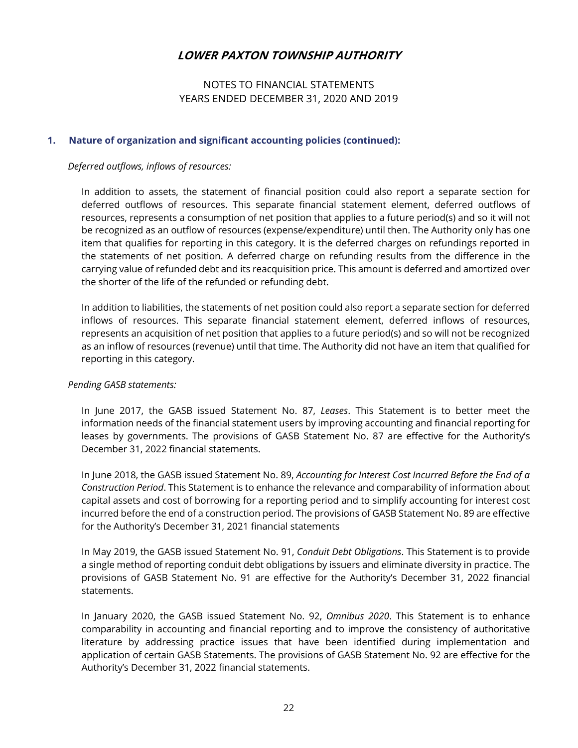## NOTES TO FINANCIAL STATEMENTS YEARS ENDED DECEMBER 31, 2020 AND 2019

#### **1. Nature of organization and significant accounting policies (continued):**

#### *Deferred outflows, inflows of resources:*

 In addition to assets, the statement of financial position could also report a separate section for deferred outflows of resources. This separate financial statement element, deferred outflows of resources, represents a consumption of net position that applies to a future period(s) and so it will not be recognized as an outflow of resources (expense/expenditure) until then. The Authority only has one item that qualifies for reporting in this category. It is the deferred charges on refundings reported in the statements of net position. A deferred charge on refunding results from the difference in the carrying value of refunded debt and its reacquisition price. This amount is deferred and amortized over the shorter of the life of the refunded or refunding debt.

 In addition to liabilities, the statements of net position could also report a separate section for deferred inflows of resources. This separate financial statement element, deferred inflows of resources, represents an acquisition of net position that applies to a future period(s) and so will not be recognized as an inflow of resources (revenue) until that time. The Authority did not have an item that qualified for reporting in this category.

#### *Pending GASB statements:*

 In June 2017, the GASB issued Statement No. 87, *Leases*. This Statement is to better meet the information needs of the financial statement users by improving accounting and financial reporting for leases by governments. The provisions of GASB Statement No. 87 are effective for the Authority's December 31, 2022 financial statements.

 In June 2018, the GASB issued Statement No. 89, *Accounting for Interest Cost Incurred Before the End of a Construction Period*. This Statement is to enhance the relevance and comparability of information about capital assets and cost of borrowing for a reporting period and to simplify accounting for interest cost incurred before the end of a construction period. The provisions of GASB Statement No. 89 are effective for the Authority's December 31, 2021 financial statements

 In May 2019, the GASB issued Statement No. 91, *Conduit Debt Obligations*. This Statement is to provide a single method of reporting conduit debt obligations by issuers and eliminate diversity in practice. The provisions of GASB Statement No. 91 are effective for the Authority's December 31, 2022 financial statements.

 In January 2020, the GASB issued Statement No. 92, *Omnibus 2020*. This Statement is to enhance comparability in accounting and financial reporting and to improve the consistency of authoritative literature by addressing practice issues that have been identified during implementation and application of certain GASB Statements. The provisions of GASB Statement No. 92 are effective for the Authority's December 31, 2022 financial statements.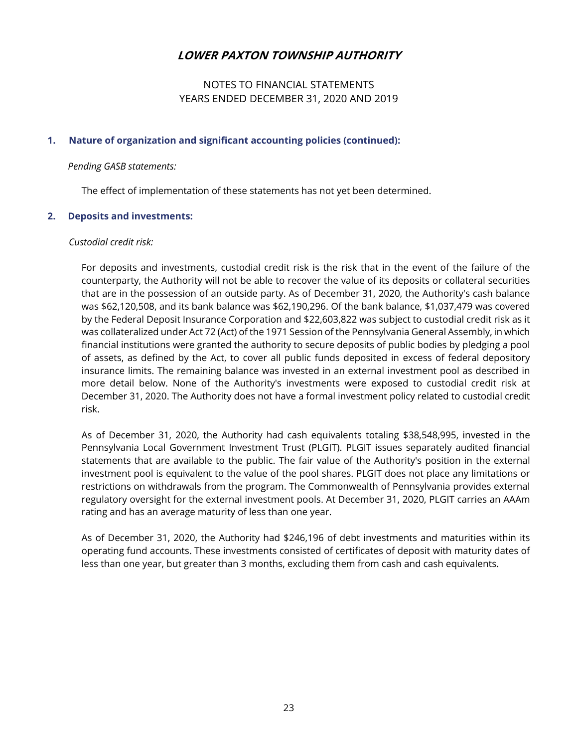## NOTES TO FINANCIAL STATEMENTS YEARS ENDED DECEMBER 31, 2020 AND 2019

#### **1. Nature of organization and significant accounting policies (continued):**

#### *Pending GASB statements:*

The effect of implementation of these statements has not yet been determined.

#### **2. Deposits and investments:**

#### *Custodial credit risk:*

 For deposits and investments, custodial credit risk is the risk that in the event of the failure of the counterparty, the Authority will not be able to recover the value of its deposits or collateral securities that are in the possession of an outside party. As of December 31, 2020, the Authority's cash balance was \$62,120,508, and its bank balance was \$62,190,296. Of the bank balance, \$1,037,479 was covered by the Federal Deposit Insurance Corporation and \$22,603,822 was subject to custodial credit risk as it was collateralized under Act 72 (Act) of the 1971 Session of the Pennsylvania General Assembly, in which financial institutions were granted the authority to secure deposits of public bodies by pledging a pool of assets, as defined by the Act, to cover all public funds deposited in excess of federal depository insurance limits. The remaining balance was invested in an external investment pool as described in more detail below. None of the Authority's investments were exposed to custodial credit risk at December 31, 2020. The Authority does not have a formal investment policy related to custodial credit risk.

 As of December 31, 2020, the Authority had cash equivalents totaling \$38,548,995, invested in the Pennsylvania Local Government Investment Trust (PLGIT). PLGIT issues separately audited financial statements that are available to the public. The fair value of the Authority's position in the external investment pool is equivalent to the value of the pool shares. PLGIT does not place any limitations or restrictions on withdrawals from the program. The Commonwealth of Pennsylvania provides external regulatory oversight for the external investment pools. At December 31, 2020, PLGIT carries an AAAm rating and has an average maturity of less than one year.

 As of December 31, 2020, the Authority had \$246,196 of debt investments and maturities within its operating fund accounts. These investments consisted of certificates of deposit with maturity dates of less than one year, but greater than 3 months, excluding them from cash and cash equivalents.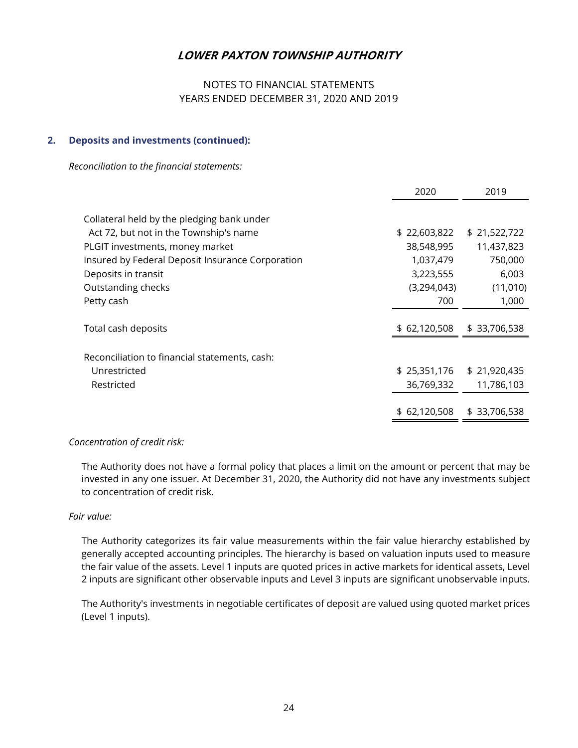## NOTES TO FINANCIAL STATEMENTS YEARS ENDED DECEMBER 31, 2020 AND 2019

#### **2. Deposits and investments (continued):**

 *Reconciliation to the financial statements:* 

|                                                  | 2020         | 2019         |
|--------------------------------------------------|--------------|--------------|
| Collateral held by the pledging bank under       |              |              |
| Act 72, but not in the Township's name           | \$22,603,822 | \$21,522,722 |
| PLGIT investments, money market                  | 38,548,995   | 11,437,823   |
| Insured by Federal Deposit Insurance Corporation | 1,037,479    | 750,000      |
| Deposits in transit                              | 3,223,555    | 6,003        |
| Outstanding checks                               | (3,294,043)  | (11,010)     |
| Petty cash                                       | 700          | 1,000        |
| Total cash deposits                              | \$62,120,508 | \$33,706,538 |
|                                                  |              |              |
| Reconciliation to financial statements, cash:    |              |              |
| Unrestricted                                     | \$25,351,176 | \$21,920,435 |
| Restricted                                       | 36,769,332   | 11,786,103   |
|                                                  |              |              |
|                                                  | \$62,120,508 | \$33,706,538 |
|                                                  |              |              |

#### *Concentration of credit risk:*

 The Authority does not have a formal policy that places a limit on the amount or percent that may be invested in any one issuer. At December 31, 2020, the Authority did not have any investments subject to concentration of credit risk.

#### *Fair value:*

 The Authority categorizes its fair value measurements within the fair value hierarchy established by generally accepted accounting principles. The hierarchy is based on valuation inputs used to measure the fair value of the assets. Level 1 inputs are quoted prices in active markets for identical assets, Level 2 inputs are significant other observable inputs and Level 3 inputs are significant unobservable inputs.

 The Authority's investments in negotiable certificates of deposit are valued using quoted market prices (Level 1 inputs).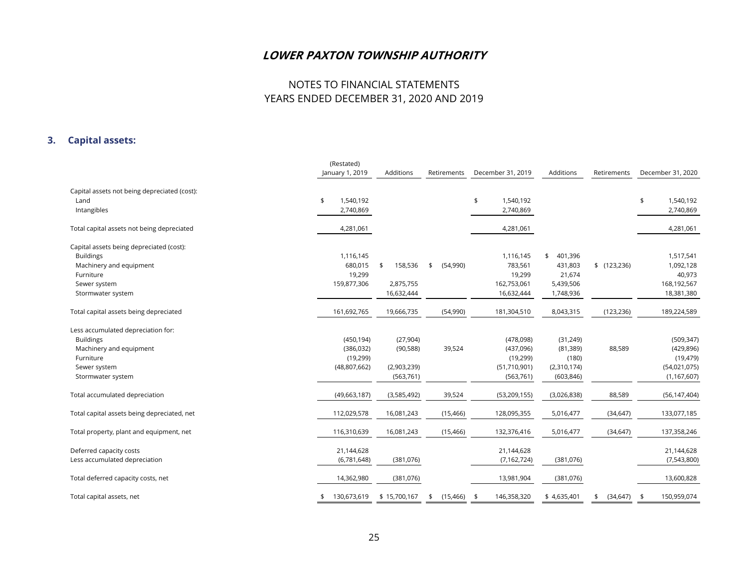## NOTES TO FINANCIAL STATEMENTS YEARS ENDED DECEMBER 31, 2020 AND 2019

## **3. Capital assets:**

|                                                                                                                                     | (Restated)<br>January 1, 2019                         | Additions                                           | Retirements     | December 31, 2019                                                 | Additions                                                    | Retirements     | December 31, 2020                                                      |
|-------------------------------------------------------------------------------------------------------------------------------------|-------------------------------------------------------|-----------------------------------------------------|-----------------|-------------------------------------------------------------------|--------------------------------------------------------------|-----------------|------------------------------------------------------------------------|
| Capital assets not being depreciated (cost):<br>Land<br>Intangibles                                                                 | 1,540,192<br>\$<br>2,740,869                          |                                                     |                 | \$<br>1,540,192<br>2,740,869                                      |                                                              |                 | \$<br>1,540,192<br>2,740,869                                           |
| Total capital assets not being depreciated                                                                                          | 4,281,061                                             |                                                     |                 | 4,281,061                                                         |                                                              |                 | 4,281,061                                                              |
| Capital assets being depreciated (cost):<br><b>Buildings</b><br>Machinery and equipment<br>Furniture                                | 1,116,145<br>680,015<br>19,299                        | 158,536<br>\$                                       | \$<br>(54,990)  | 1,116,145<br>783,561<br>19,299                                    | 401,396<br>\$<br>431,803<br>21,674                           | \$(123, 236)    | 1,517,541<br>1,092,128<br>40,973                                       |
| Sewer system<br>Stormwater system                                                                                                   | 159,877,306                                           | 2,875,755<br>16,632,444                             |                 | 162,753,061<br>16,632,444                                         | 5,439,506<br>1,748,936                                       |                 | 168,192,567<br>18,381,380                                              |
| Total capital assets being depreciated                                                                                              | 161,692,765                                           | 19,666,735                                          | (54,990)        | 181,304,510                                                       | 8,043,315                                                    | (123, 236)      | 189,224,589                                                            |
| Less accumulated depreciation for:<br><b>Buildings</b><br>Machinery and equipment<br>Furniture<br>Sewer system<br>Stormwater system | (450, 194)<br>(386, 032)<br>(19, 299)<br>(48,807,662) | (27, 904)<br>(90, 588)<br>(2,903,239)<br>(563, 761) | 39,524          | (478,098)<br>(437,096)<br>(19, 299)<br>(51,710,901)<br>(563, 761) | (31, 249)<br>(81, 389)<br>(180)<br>(2,310,174)<br>(603, 846) | 88,589          | (509, 347)<br>(429, 896)<br>(19, 479)<br>(54,021,075)<br>(1, 167, 607) |
| Total accumulated depreciation                                                                                                      | (49,663,187)                                          | (3,585,492)                                         | 39,524          | (53, 209, 155)                                                    | (3,026,838)                                                  | 88,589          | (56, 147, 404)                                                         |
| Total capital assets being depreciated, net                                                                                         | 112,029,578                                           | 16,081,243                                          | (15, 466)       | 128,095,355                                                       | 5,016,477                                                    | (34, 647)       | 133,077,185                                                            |
| Total property, plant and equipment, net                                                                                            | 116,310,639                                           | 16,081,243                                          | (15, 466)       | 132,376,416                                                       | 5,016,477                                                    | (34, 647)       | 137,358,246                                                            |
| Deferred capacity costs<br>Less accumulated depreciation                                                                            | 21,144,628<br>(6,781,648)                             | (381, 076)                                          |                 | 21,144,628<br>(7, 162, 724)                                       | (381, 076)                                                   |                 | 21,144,628<br>(7,543,800)                                              |
| Total deferred capacity costs, net                                                                                                  | 14,362,980                                            | (381, 076)                                          |                 | 13,981,904                                                        | (381, 076)                                                   |                 | 13,600,828                                                             |
| Total capital assets, net                                                                                                           | 130,673,619                                           | \$15,700,167                                        | (15, 466)<br>\$ | 146,358,320<br>-\$                                                | \$4,635,401                                                  | (34, 647)<br>\$ | 150,959,074<br>-\$                                                     |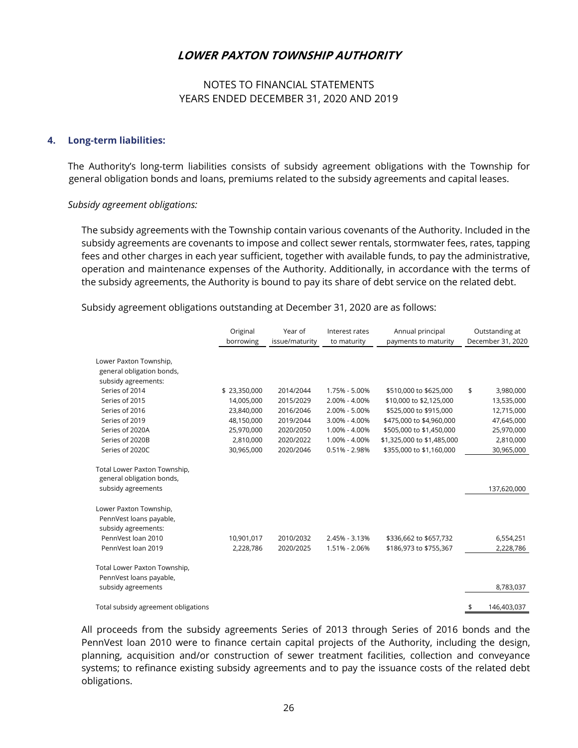## NOTES TO FINANCIAL STATEMENTS YEARS ENDED DECEMBER 31, 2020 AND 2019

#### **4. Long-term liabilities:**

 The Authority's long-term liabilities consists of subsidy agreement obligations with the Township for general obligation bonds and loans, premiums related to the subsidy agreements and capital leases.

#### *Subsidy agreement obligations:*

 The subsidy agreements with the Township contain various covenants of the Authority. Included in the subsidy agreements are covenants to impose and collect sewer rentals, stormwater fees, rates, tapping fees and other charges in each year sufficient, together with available funds, to pay the administrative, operation and maintenance expenses of the Authority. Additionally, in accordance with the terms of the subsidy agreements, the Authority is bound to pay its share of debt service on the related debt.

Subsidy agreement obligations outstanding at December 31, 2020 are as follows:

|                                                                                 | Original<br>borrowing | Year of<br>issue/maturity | Interest rates<br>to maturity | Annual principal<br>payments to maturity | Outstanding at<br>December 31, 2020 |
|---------------------------------------------------------------------------------|-----------------------|---------------------------|-------------------------------|------------------------------------------|-------------------------------------|
| Lower Paxton Township,<br>general obligation bonds,<br>subsidy agreements:      |                       |                           |                               |                                          |                                     |
| Series of 2014                                                                  | \$23,350,000          | 2014/2044                 | 1.75% - 5.00%                 | \$510,000 to \$625,000                   | \$<br>3,980,000                     |
| Series of 2015                                                                  | 14,005,000            | 2015/2029                 | 2.00% - 4.00%                 | \$10,000 to \$2,125,000                  | 13,535,000                          |
| Series of 2016                                                                  | 23,840,000            | 2016/2046                 | 2.00% - 5.00%                 | \$525,000 to \$915,000                   | 12,715,000                          |
| Series of 2019                                                                  | 48,150,000            | 2019/2044                 | 3.00% - 4.00%                 | \$475,000 to \$4,960,000                 | 47,645,000                          |
| Series of 2020A                                                                 | 25,970,000            | 2020/2050                 | 1.00% - 4.00%                 | \$505,000 to \$1,450,000                 | 25,970,000                          |
| Series of 2020B                                                                 | 2,810,000             | 2020/2022                 | 1.00% - 4.00%                 | \$1,325,000 to \$1,485,000               | 2,810,000                           |
| Series of 2020C                                                                 | 30,965,000            | 2020/2046                 | $0.51\% - 2.98\%$             | \$355,000 to \$1,160,000                 | 30,965,000                          |
| Total Lower Paxton Township,<br>general obligation bonds,<br>subsidy agreements |                       |                           |                               |                                          | 137,620,000                         |
| Lower Paxton Township,<br>PennVest loans payable,<br>subsidy agreements:        |                       |                           |                               |                                          |                                     |
| PennVest loan 2010                                                              | 10,901,017            | 2010/2032                 | 2.45% - 3.13%                 | \$336,662 to \$657,732                   | 6,554,251                           |
| PennVest loan 2019                                                              | 2,228,786             | 2020/2025                 | 1.51% - 2.06%                 | \$186,973 to \$755,367                   | 2,228,786                           |
| Total Lower Paxton Township,<br>PennVest loans payable,                         |                       |                           |                               |                                          |                                     |
| subsidy agreements                                                              |                       |                           |                               |                                          | 8,783,037                           |
| Total subsidy agreement obligations                                             |                       |                           |                               |                                          | \$<br>146.403.037                   |

 All proceeds from the subsidy agreements Series of 2013 through Series of 2016 bonds and the PennVest loan 2010 were to finance certain capital projects of the Authority, including the design, planning, acquisition and/or construction of sewer treatment facilities, collection and conveyance systems; to refinance existing subsidy agreements and to pay the issuance costs of the related debt obligations.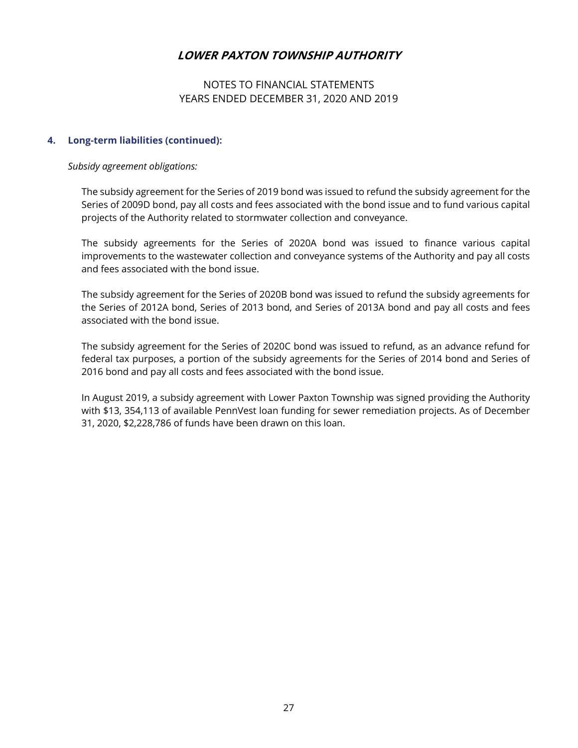## NOTES TO FINANCIAL STATEMENTS YEARS ENDED DECEMBER 31, 2020 AND 2019

#### **4. Long-term liabilities (continued):**

#### *Subsidy agreement obligations:*

 The subsidy agreement for the Series of 2019 bond was issued to refund the subsidy agreement for the Series of 2009D bond, pay all costs and fees associated with the bond issue and to fund various capital projects of the Authority related to stormwater collection and conveyance.

 The subsidy agreements for the Series of 2020A bond was issued to finance various capital improvements to the wastewater collection and conveyance systems of the Authority and pay all costs and fees associated with the bond issue.

 The subsidy agreement for the Series of 2020B bond was issued to refund the subsidy agreements for the Series of 2012A bond, Series of 2013 bond, and Series of 2013A bond and pay all costs and fees associated with the bond issue.

The subsidy agreement for the Series of 2020C bond was issued to refund, as an advance refund for federal tax purposes, a portion of the subsidy agreements for the Series of 2014 bond and Series of 2016 bond and pay all costs and fees associated with the bond issue.

In August 2019, a subsidy agreement with Lower Paxton Township was signed providing the Authority with \$13, 354,113 of available PennVest loan funding for sewer remediation projects. As of December 31, 2020, \$2,228,786 of funds have been drawn on this loan.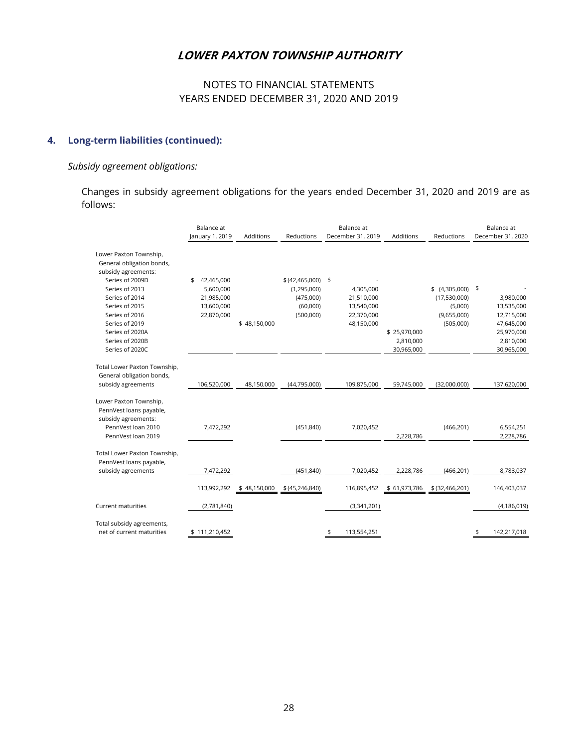# NOTES TO FINANCIAL STATEMENTS YEARS ENDED DECEMBER 31, 2020 AND 2019

## **4. Long-term liabilities (continued):**

#### *Subsidy agreement obligations:*

Changes in subsidy agreement obligations for the years ended December 31, 2020 and 2019 are as follows:

|                                                                                                                                                                    | Balance at                                                              |              |                                                                           | Balance at        |                                                                   |                                         |                                                                          | Balance at                                                                                   |
|--------------------------------------------------------------------------------------------------------------------------------------------------------------------|-------------------------------------------------------------------------|--------------|---------------------------------------------------------------------------|-------------------|-------------------------------------------------------------------|-----------------------------------------|--------------------------------------------------------------------------|----------------------------------------------------------------------------------------------|
|                                                                                                                                                                    | January 1, 2019                                                         | Additions    | Reductions                                                                | December 31, 2019 |                                                                   | Additions                               | Reductions                                                               | December 31, 2020                                                                            |
| Lower Paxton Township,<br>General obligation bonds,<br>subsidy agreements:                                                                                         |                                                                         |              |                                                                           |                   |                                                                   |                                         |                                                                          |                                                                                              |
| Series of 2009D<br>Series of 2013<br>Series of 2014<br>Series of 2015<br>Series of 2016<br>Series of 2019<br>Series of 2020A<br>Series of 2020B<br>Series of 2020C | 42,465,000<br>\$<br>5,600,000<br>21,985,000<br>13,600,000<br>22,870,000 | \$48,150,000 | \$ (42, 465, 000) \$<br>(1,295,000)<br>(475,000)<br>(60,000)<br>(500,000) |                   | 4,305,000<br>21,510,000<br>13,540,000<br>22,370,000<br>48,150,000 | \$25,970,000<br>2,810,000<br>30,965,000 | $$(4,305,000)$ \$<br>(17,530,000)<br>(5,000)<br>(9,655,000)<br>(505,000) | 3,980,000<br>13,535,000<br>12,715,000<br>47,645,000<br>25,970,000<br>2,810,000<br>30,965,000 |
| Total Lower Paxton Township,<br>General obligation bonds,<br>subsidy agreements                                                                                    | 106,520,000                                                             | 48,150,000   | (44,795,000)                                                              |                   | 109,875,000                                                       | 59,745,000                              | (32,000,000)                                                             | 137,620,000                                                                                  |
| Lower Paxton Township,<br>PennVest loans payable,<br>subsidy agreements:<br>PennVest loan 2010<br>PennVest loan 2019                                               | 7,472,292                                                               |              | (451, 840)                                                                |                   | 7,020,452                                                         | 2,228,786                               | (466, 201)                                                               | 6,554,251<br>2,228,786                                                                       |
| Total Lower Paxton Township,<br>PennVest loans payable,<br>subsidy agreements                                                                                      | 7,472,292                                                               |              | (451, 840)                                                                |                   | 7,020,452                                                         | 2,228,786                               | (466, 201)                                                               | 8,783,037                                                                                    |
|                                                                                                                                                                    |                                                                         |              |                                                                           |                   |                                                                   |                                         |                                                                          |                                                                                              |
|                                                                                                                                                                    | 113,992,292                                                             | \$48,150,000 | \$ (45, 246, 840)                                                         |                   | 116,895,452                                                       | \$61,973,786                            | $$$ (32,466,201)                                                         | 146,403,037                                                                                  |
| Current maturities                                                                                                                                                 | (2,781,840)                                                             |              |                                                                           |                   | (3,341,201)                                                       |                                         |                                                                          | (4, 186, 019)                                                                                |
| Total subsidy agreements,<br>net of current maturities                                                                                                             | \$111,210,452                                                           |              |                                                                           | \$                | 113,554,251                                                       |                                         |                                                                          | \$<br>142,217,018                                                                            |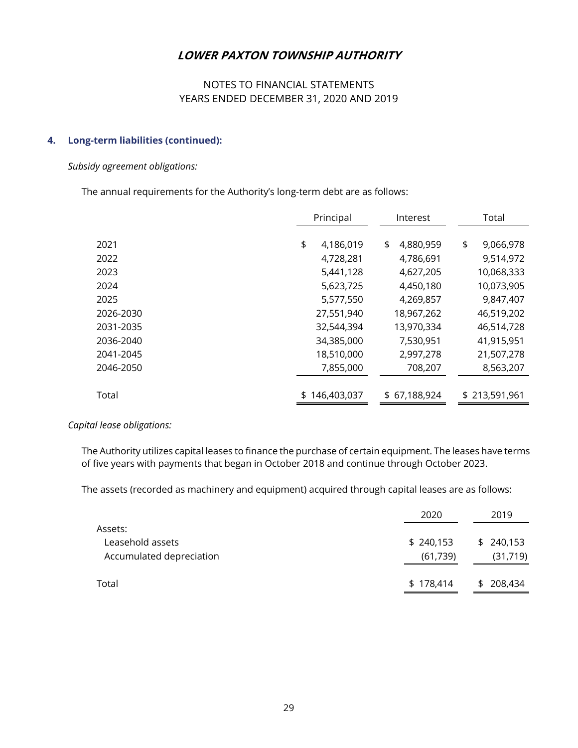# NOTES TO FINANCIAL STATEMENTS YEARS ENDED DECEMBER 31, 2020 AND 2019

#### **4. Long-term liabilities (continued):**

#### *Subsidy agreement obligations:*

The annual requirements for the Authority's long-term debt are as follows:

|           | Principal |             | Interest |              | Total           |
|-----------|-----------|-------------|----------|--------------|-----------------|
|           |           |             |          |              |                 |
| 2021      | \$        | 4,186,019   | \$       | 4,880,959    | \$<br>9,066,978 |
| 2022      |           | 4,728,281   |          | 4,786,691    | 9,514,972       |
| 2023      |           | 5,441,128   |          | 4,627,205    | 10,068,333      |
| 2024      |           | 5,623,725   |          | 4,450,180    | 10,073,905      |
| 2025      |           | 5,577,550   |          | 4,269,857    | 9,847,407       |
| 2026-2030 |           | 27,551,940  |          | 18,967,262   | 46,519,202      |
| 2031-2035 |           | 32,544,394  |          | 13,970,334   | 46,514,728      |
| 2036-2040 |           | 34,385,000  |          | 7,530,951    | 41,915,951      |
| 2041-2045 |           | 18,510,000  |          | 2,997,278    | 21,507,278      |
| 2046-2050 |           | 7,855,000   |          | 708,207      | 8,563,207       |
|           |           |             |          |              |                 |
| Total     |           | 146,403,037 |          | \$67,188,924 | \$213,591,961   |

#### *Capital lease obligations:*

 The Authority utilizes capital leases to finance the purchase of certain equipment. The leases have terms of five years with payments that began in October 2018 and continue through October 2023.

The assets (recorded as machinery and equipment) acquired through capital leases are as follows:

|                          | 2020      | 2019       |
|--------------------------|-----------|------------|
| Assets:                  |           |            |
| Leasehold assets         | \$240,153 | \$240,153  |
| Accumulated depreciation | (61, 739) | (31, 719)  |
|                          |           |            |
| Total                    | \$178,414 | \$ 208,434 |
|                          |           |            |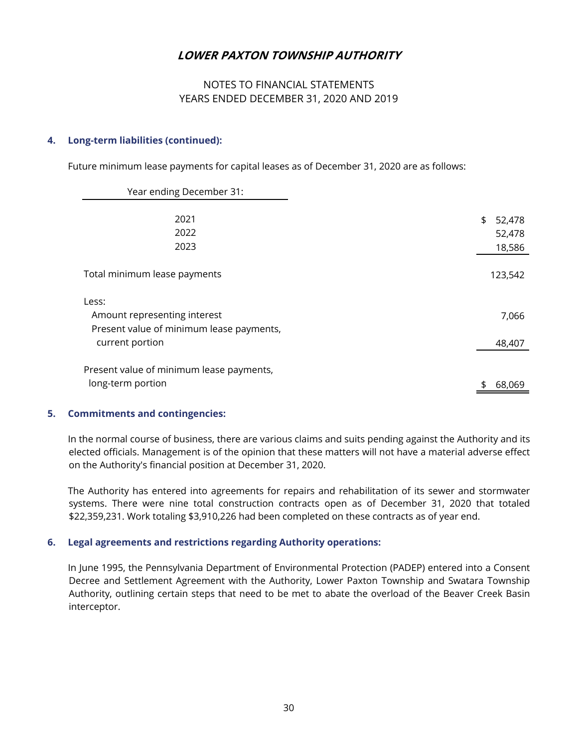## NOTES TO FINANCIAL STATEMENTS YEARS ENDED DECEMBER 31, 2020 AND 2019

#### **4. Long-term liabilities (continued):**

Future minimum lease payments for capital leases as of December 31, 2020 are as follows:

| Year ending December 31:                                                                             |                                  |
|------------------------------------------------------------------------------------------------------|----------------------------------|
| 2021<br>2022<br>2023                                                                                 | \$<br>52,478<br>52,478<br>18,586 |
| Total minimum lease payments                                                                         | 123,542                          |
| Less:<br>Amount representing interest<br>Present value of minimum lease payments,<br>current portion | 7,066<br>48,407                  |
| Present value of minimum lease payments,<br>long-term portion                                        | 68,069                           |

#### **5. Commitments and contingencies:**

 In the normal course of business, there are various claims and suits pending against the Authority and its elected officials. Management is of the opinion that these matters will not have a material adverse effect on the Authority's financial position at December 31, 2020.

 The Authority has entered into agreements for repairs and rehabilitation of its sewer and stormwater systems. There were nine total construction contracts open as of December 31, 2020 that totaled \$22,359,231. Work totaling \$3,910,226 had been completed on these contracts as of year end.

#### **6. Legal agreements and restrictions regarding Authority operations:**

 In June 1995, the Pennsylvania Department of Environmental Protection (PADEP) entered into a Consent Decree and Settlement Agreement with the Authority, Lower Paxton Township and Swatara Township Authority, outlining certain steps that need to be met to abate the overload of the Beaver Creek Basin interceptor.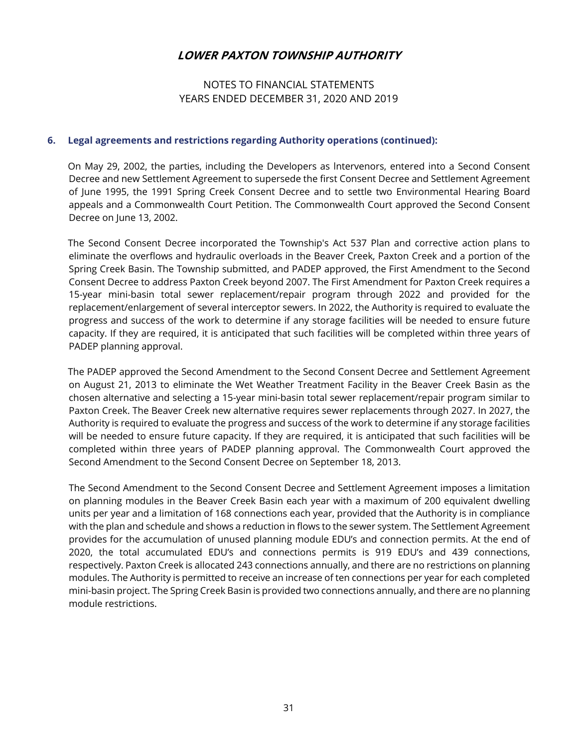## NOTES TO FINANCIAL STATEMENTS YEARS ENDED DECEMBER 31, 2020 AND 2019

#### **6. Legal agreements and restrictions regarding Authority operations (continued):**

 On May 29, 2002, the parties, including the Developers as lntervenors, entered into a Second Consent Decree and new Settlement Agreement to supersede the first Consent Decree and Settlement Agreement of June 1995, the 1991 Spring Creek Consent Decree and to settle two Environmental Hearing Board appeals and a Commonwealth Court Petition. The Commonwealth Court approved the Second Consent Decree on June 13, 2002.

 The Second Consent Decree incorporated the Township's Act 537 Plan and corrective action plans to eliminate the overflows and hydraulic overloads in the Beaver Creek, Paxton Creek and a portion of the Spring Creek Basin. The Township submitted, and PADEP approved, the First Amendment to the Second Consent Decree to address Paxton Creek beyond 2007. The First Amendment for Paxton Creek requires a 15-year mini-basin total sewer replacement/repair program through 2022 and provided for the replacement/enlargement of several interceptor sewers. In 2022, the Authority is required to evaluate the progress and success of the work to determine if any storage facilities will be needed to ensure future capacity. If they are required, it is anticipated that such facilities will be completed within three years of PADEP planning approval.

 The PADEP approved the Second Amendment to the Second Consent Decree and Settlement Agreement on August 21, 2013 to eliminate the Wet Weather Treatment Facility in the Beaver Creek Basin as the chosen alternative and selecting a 15-year mini-basin total sewer replacement/repair program similar to Paxton Creek. The Beaver Creek new alternative requires sewer replacements through 2027. In 2027, the Authority is required to evaluate the progress and success of the work to determine if any storage facilities will be needed to ensure future capacity. If they are required, it is anticipated that such facilities will be completed within three years of PADEP planning approval. The Commonwealth Court approved the Second Amendment to the Second Consent Decree on September 18, 2013.

The Second Amendment to the Second Consent Decree and Settlement Agreement imposes a limitation on planning modules in the Beaver Creek Basin each year with a maximum of 200 equivalent dwelling units per year and a limitation of 168 connections each year, provided that the Authority is in compliance with the plan and schedule and shows a reduction in flows to the sewer system. The Settlement Agreement provides for the accumulation of unused planning module EDU's and connection permits. At the end of 2020, the total accumulated EDU's and connections permits is 919 EDU's and 439 connections, respectively. Paxton Creek is allocated 243 connections annually, and there are no restrictions on planning modules. The Authority is permitted to receive an increase of ten connections per year for each completed mini-basin project. The Spring Creek Basin is provided two connections annually, and there are no planning module restrictions.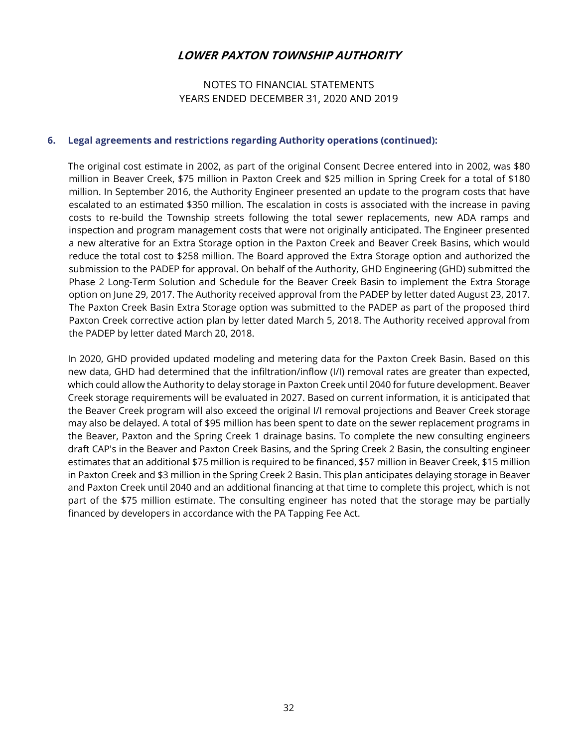## NOTES TO FINANCIAL STATEMENTS YEARS ENDED DECEMBER 31, 2020 AND 2019

#### **6. Legal agreements and restrictions regarding Authority operations (continued):**

 The original cost estimate in 2002, as part of the original Consent Decree entered into in 2002, was \$80 million in Beaver Creek, \$75 million in Paxton Creek and \$25 million in Spring Creek for a total of \$180 million. In September 2016, the Authority Engineer presented an update to the program costs that have escalated to an estimated \$350 million. The escalation in costs is associated with the increase in paving costs to re-build the Township streets following the total sewer replacements, new ADA ramps and inspection and program management costs that were not originally anticipated. The Engineer presented a new alterative for an Extra Storage option in the Paxton Creek and Beaver Creek Basins, which would reduce the total cost to \$258 million. The Board approved the Extra Storage option and authorized the submission to the PADEP for approval. On behalf of the Authority, GHD Engineering (GHD) submitted the Phase 2 Long-Term Solution and Schedule for the Beaver Creek Basin to implement the Extra Storage option on June 29, 2017. The Authority received approval from the PADEP by letter dated August 23, 2017. The Paxton Creek Basin Extra Storage option was submitted to the PADEP as part of the proposed third Paxton Creek corrective action plan by letter dated March 5, 2018. The Authority received approval from the PADEP by letter dated March 20, 2018.

In 2020, GHD provided updated modeling and metering data for the Paxton Creek Basin. Based on this new data, GHD had determined that the infiltration/inflow (I/I) removal rates are greater than expected, which could allow the Authority to delay storage in Paxton Creek until 2040 for future development. Beaver Creek storage requirements will be evaluated in 2027. Based on current information, it is anticipated that the Beaver Creek program will also exceed the original I/I removal projections and Beaver Creek storage may also be delayed. A total of \$95 million has been spent to date on the sewer replacement programs in the Beaver, Paxton and the Spring Creek 1 drainage basins. To complete the new consulting engineers draft CAP's in the Beaver and Paxton Creek Basins, and the Spring Creek 2 Basin, the consulting engineer estimates that an additional \$75 million is required to be financed, \$57 million in Beaver Creek, \$15 million in Paxton Creek and \$3 million in the Spring Creek 2 Basin. This plan anticipates delaying storage in Beaver and Paxton Creek until 2040 and an additional financing at that time to complete this project, which is not part of the \$75 million estimate. The consulting engineer has noted that the storage may be partially financed by developers in accordance with the PA Tapping Fee Act.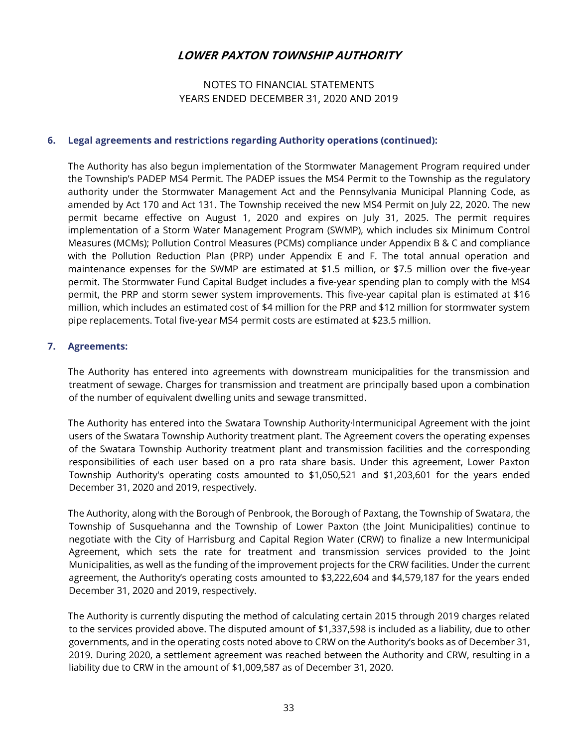## NOTES TO FINANCIAL STATEMENTS YEARS ENDED DECEMBER 31, 2020 AND 2019

#### **6. Legal agreements and restrictions regarding Authority operations (continued):**

The Authority has also begun implementation of the Stormwater Management Program required under the Township's PADEP MS4 Permit. The PADEP issues the MS4 Permit to the Township as the regulatory authority under the Stormwater Management Act and the Pennsylvania Municipal Planning Code, as amended by Act 170 and Act 131. The Township received the new MS4 Permit on July 22, 2020. The new permit became effective on August 1, 2020 and expires on July 31, 2025. The permit requires implementation of a Storm Water Management Program (SWMP), which includes six Minimum Control Measures (MCMs); Pollution Control Measures (PCMs) compliance under Appendix B & C and compliance with the Pollution Reduction Plan (PRP) under Appendix E and F. The total annual operation and maintenance expenses for the SWMP are estimated at \$1.5 million, or \$7.5 million over the five-year permit. The Stormwater Fund Capital Budget includes a five-year spending plan to comply with the MS4 permit, the PRP and storm sewer system improvements. This five-year capital plan is estimated at \$16 million, which includes an estimated cost of \$4 million for the PRP and \$12 million for stormwater system pipe replacements. Total five-year MS4 permit costs are estimated at \$23.5 million.

#### **7. Agreements:**

 The Authority has entered into agreements with downstream municipalities for the transmission and treatment of sewage. Charges for transmission and treatment are principally based upon a combination of the number of equivalent dwelling units and sewage transmitted.

 The Authority has entered into the Swatara Township Authority·lntermunicipal Agreement with the joint users of the Swatara Township Authority treatment plant. The Agreement covers the operating expenses of the Swatara Township Authority treatment plant and transmission facilities and the corresponding responsibilities of each user based on a pro rata share basis. Under this agreement, Lower Paxton Township Authority's operating costs amounted to \$1,050,521 and \$1,203,601 for the years ended December 31, 2020 and 2019, respectively.

 The Authority, along with the Borough of Penbrook, the Borough of Paxtang, the Township of Swatara, the Township of Susquehanna and the Township of Lower Paxton (the Joint Municipalities) continue to negotiate with the City of Harrisburg and Capital Region Water (CRW) to finalize a new lntermunicipal Agreement, which sets the rate for treatment and transmission services provided to the Joint Municipalities, as well as the funding of the improvement projects for the CRW facilities. Under the current agreement, the Authority's operating costs amounted to \$3,222,604 and \$4,579,187 for the years ended December 31, 2020 and 2019, respectively.

 The Authority is currently disputing the method of calculating certain 2015 through 2019 charges related to the services provided above. The disputed amount of \$1,337,598 is included as a liability, due to other governments, and in the operating costs noted above to CRW on the Authority's books as of December 31, 2019. During 2020, a settlement agreement was reached between the Authority and CRW, resulting in a liability due to CRW in the amount of \$1,009,587 as of December 31, 2020.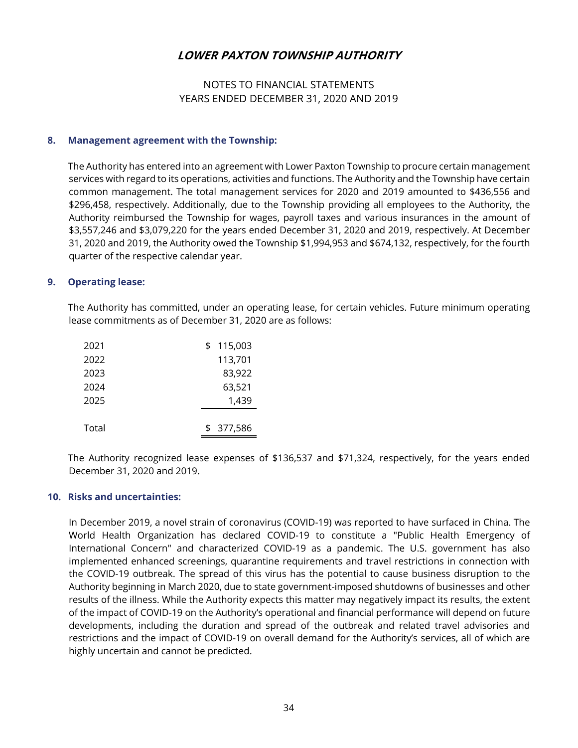## NOTES TO FINANCIAL STATEMENTS YEARS ENDED DECEMBER 31, 2020 AND 2019

#### **8. Management agreement with the Township:**

 The Authority has entered into an agreement with Lower Paxton Township to procure certain management services with regard to its operations, activities and functions. The Authority and the Township have certain common management. The total management services for 2020 and 2019 amounted to \$436,556 and \$296,458, respectively. Additionally, due to the Township providing all employees to the Authority, the Authority reimbursed the Township for wages, payroll taxes and various insurances in the amount of \$3,557,246 and \$3,079,220 for the years ended December 31, 2020 and 2019, respectively. At December 31, 2020 and 2019, the Authority owed the Township \$1,994,953 and \$674,132, respectively, for the fourth quarter of the respective calendar year.

#### **9. Operating lease:**

 The Authority has committed, under an operating lease, for certain vehicles. Future minimum operating lease commitments as of December 31, 2020 are as follows:

| 2021  | \$<br>115,003 |
|-------|---------------|
| 2022  | 113,701       |
| 2023  | 83,922        |
| 2024  | 63,521        |
| 2025  | 1,439         |
|       |               |
| Total | \$ 377,586    |

The Authority recognized lease expenses of \$136,537 and \$71,324, respectively, for the years ended December 31, 2020 and 2019.

#### **10. Risks and uncertainties:**

In December 2019, a novel strain of coronavirus (COVID-19) was reported to have surfaced in China. The World Health Organization has declared COVID-19 to constitute a "Public Health Emergency of International Concern" and characterized COVID-19 as a pandemic. The U.S. government has also implemented enhanced screenings, quarantine requirements and travel restrictions in connection with the COVID-19 outbreak. The spread of this virus has the potential to cause business disruption to the Authority beginning in March 2020, due to state government-imposed shutdowns of businesses and other results of the illness. While the Authority expects this matter may negatively impact its results, the extent of the impact of COVID-19 on the Authority's operational and financial performance will depend on future developments, including the duration and spread of the outbreak and related travel advisories and restrictions and the impact of COVID-19 on overall demand for the Authority's services, all of which are highly uncertain and cannot be predicted.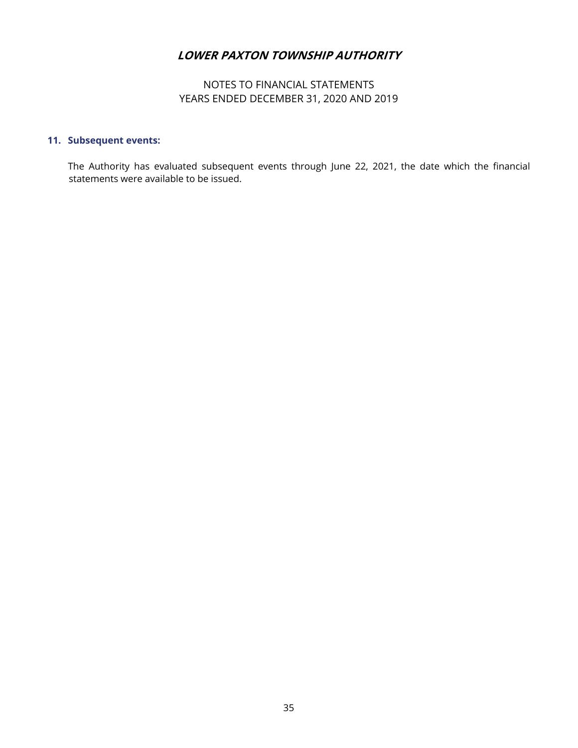# NOTES TO FINANCIAL STATEMENTS YEARS ENDED DECEMBER 31, 2020 AND 2019

## **11. Subsequent events:**

 The Authority has evaluated subsequent events through June 22, 2021, the date which the financial statements were available to be issued.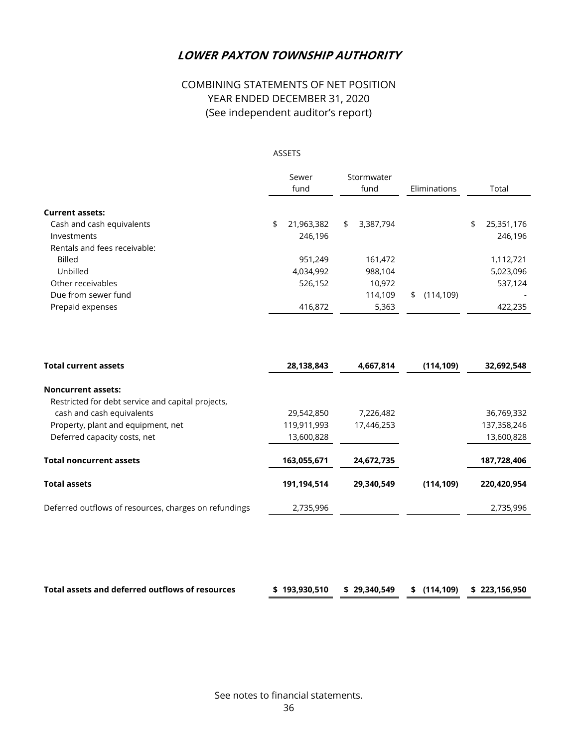# COMBINING STATEMENTS OF NET POSITION YEAR ENDED DECEMBER 31, 2020 (See independent auditor's report)

#### ASSETS

|                              | Sewer |            | Stormwater |           |              |            |       |            |
|------------------------------|-------|------------|------------|-----------|--------------|------------|-------|------------|
|                              | fund  |            | fund       |           | Eliminations |            | Total |            |
| <b>Current assets:</b>       |       |            |            |           |              |            |       |            |
| Cash and cash equivalents    | \$    | 21,963,382 | \$         | 3,387,794 |              |            | \$    | 25,351,176 |
| Investments                  |       | 246,196    |            |           |              |            |       | 246,196    |
| Rentals and fees receivable: |       |            |            |           |              |            |       |            |
| <b>Billed</b>                |       | 951.249    |            | 161,472   |              |            |       | 1,112,721  |
| Unbilled                     |       | 4,034,992  |            | 988,104   |              |            |       | 5,023,096  |
| Other receivables            |       | 526,152    |            | 10.972    |              |            |       | 537,124    |
| Due from sewer fund          |       |            |            | 114,109   | \$           | (114, 109) |       |            |
| Prepaid expenses             |       | 416,872    |            | 5,363     |              |            |       | 422,235    |

| <b>Total current assets</b>                           | 28,138,843  | 4,667,814  | (114, 109) | 32,692,548  |
|-------------------------------------------------------|-------------|------------|------------|-------------|
| <b>Noncurrent assets:</b>                             |             |            |            |             |
| Restricted for debt service and capital projects,     |             |            |            |             |
| cash and cash equivalents                             | 29,542,850  | 7,226,482  |            | 36,769,332  |
| Property, plant and equipment, net                    | 119,911,993 | 17,446,253 |            | 137,358,246 |
| Deferred capacity costs, net                          | 13,600,828  |            |            | 13,600,828  |
| <b>Total noncurrent assets</b>                        | 163,055,671 | 24,672,735 |            | 187,728,406 |
| <b>Total assets</b>                                   | 191,194,514 | 29,340,549 | (114.109)  | 220.420.954 |
| Deferred outflows of resources, charges on refundings | 2,735,996   |            |            | 2,735,996   |

| Total assets and deferred outflows of resources | \$193,930,510 \$29,340,549 \$(114,109) \$223,156,950 |  |  |
|-------------------------------------------------|------------------------------------------------------|--|--|
|                                                 |                                                      |  |  |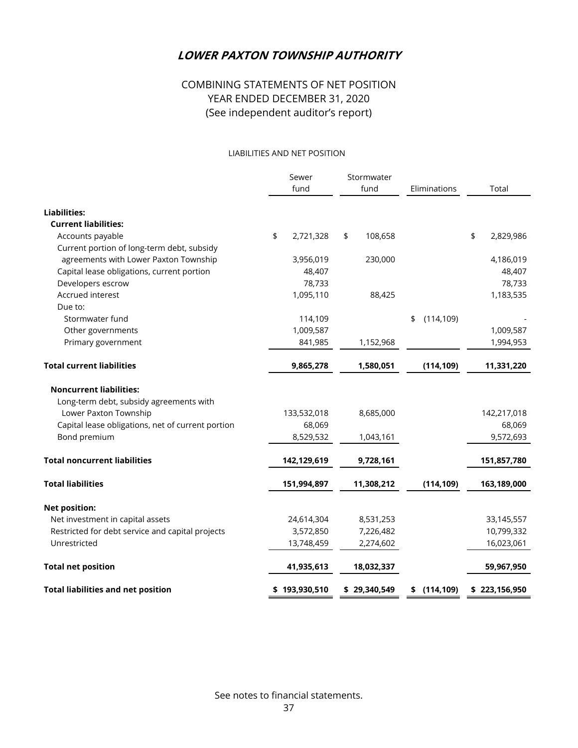# COMBINING STATEMENTS OF NET POSITION YEAR ENDED DECEMBER 31, 2020 (See independent auditor's report)

#### LIABILITIES AND NET POSITION

|                                                   | Sewer           | Stormwater    |                  |                 |
|---------------------------------------------------|-----------------|---------------|------------------|-----------------|
|                                                   | fund            | fund          | Eliminations     | Total           |
| <b>Liabilities:</b>                               |                 |               |                  |                 |
| <b>Current liabilities:</b>                       |                 |               |                  |                 |
| Accounts payable                                  | \$<br>2,721,328 | \$<br>108,658 |                  | \$<br>2,829,986 |
| Current portion of long-term debt, subsidy        |                 |               |                  |                 |
| agreements with Lower Paxton Township             | 3,956,019       | 230,000       |                  | 4,186,019       |
| Capital lease obligations, current portion        | 48,407          |               |                  | 48,407          |
| Developers escrow                                 | 78,733          |               |                  | 78,733          |
| Accrued interest                                  | 1,095,110       | 88,425        |                  | 1,183,535       |
| Due to:                                           |                 |               |                  |                 |
| Stormwater fund                                   | 114,109         |               | \$<br>(114, 109) |                 |
| Other governments                                 | 1,009,587       |               |                  | 1,009,587       |
| Primary government                                | 841,985         | 1,152,968     |                  | 1,994,953       |
| <b>Total current liabilities</b>                  | 9,865,278       | 1,580,051     | (114, 109)       | 11,331,220      |
| <b>Noncurrent liabilities:</b>                    |                 |               |                  |                 |
| Long-term debt, subsidy agreements with           |                 |               |                  |                 |
| Lower Paxton Township                             | 133,532,018     | 8,685,000     |                  | 142,217,018     |
| Capital lease obligations, net of current portion | 68,069          |               |                  | 68,069          |
| Bond premium                                      | 8,529,532       | 1,043,161     |                  | 9,572,693       |
| <b>Total noncurrent liabilities</b>               | 142,129,619     | 9,728,161     |                  | 151,857,780     |
| <b>Total liabilities</b>                          | 151,994,897     | 11,308,212    | (114, 109)       | 163,189,000     |
| <b>Net position:</b>                              |                 |               |                  |                 |
| Net investment in capital assets                  | 24,614,304      | 8,531,253     |                  | 33,145,557      |
| Restricted for debt service and capital projects  | 3,572,850       | 7,226,482     |                  | 10,799,332      |
| Unrestricted                                      | 13,748,459      | 2,274,602     |                  | 16,023,061      |
| <b>Total net position</b>                         | 41,935,613      | 18,032,337    |                  | 59,967,950      |
| <b>Total liabilities and net position</b>         | \$193,930,510   | \$29,340,549  | \$(114, 109)     | \$223,156,950   |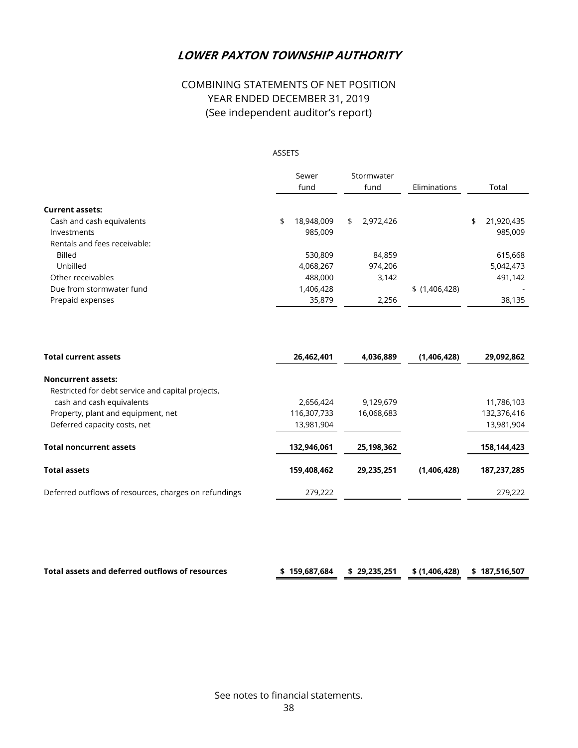# COMBINING STATEMENTS OF NET POSITION YEAR ENDED DECEMBER 31, 2019 (See independent auditor's report)

#### ASSETS

|                              | Sewer<br>fund    | Stormwater<br>fund | Eliminations  | Total            |
|------------------------------|------------------|--------------------|---------------|------------------|
| <b>Current assets:</b>       |                  |                    |               |                  |
| Cash and cash equivalents    | \$<br>18,948,009 | \$<br>2,972,426    |               | \$<br>21,920,435 |
| Investments                  | 985,009          |                    |               | 985,009          |
| Rentals and fees receivable: |                  |                    |               |                  |
| <b>Billed</b>                | 530,809          | 84,859             |               | 615,668          |
| Unbilled                     | 4,068,267        | 974.206            |               | 5,042,473        |
| Other receivables            | 488,000          | 3,142              |               | 491,142          |
| Due from stormwater fund     | 1,406,428        |                    | \$(1,406,428) |                  |
| Prepaid expenses             | 35,879           | 2,256              |               | 38,135           |

| <b>Total current assets</b>                           | 26,462,401  | 4,036,889  | (1,406,428) | 29,092,862  |
|-------------------------------------------------------|-------------|------------|-------------|-------------|
| <b>Noncurrent assets:</b>                             |             |            |             |             |
| Restricted for debt service and capital projects,     |             |            |             |             |
| cash and cash equivalents                             | 2,656,424   | 9,129,679  |             | 11,786,103  |
| Property, plant and equipment, net                    | 116,307,733 | 16,068,683 |             | 132,376,416 |
| Deferred capacity costs, net                          | 13,981,904  |            |             | 13,981,904  |
| <b>Total noncurrent assets</b>                        | 132,946,061 | 25,198,362 |             | 158,144,423 |
| <b>Total assets</b>                                   | 159,408,462 | 29.235.251 | (1.406.428) | 187,237,285 |
| Deferred outflows of resources, charges on refundings | 279,222     |            |             | 279.222     |

| Total assets and deferred outflows of resources | \$159,687,684 | \$\,29,235,251\,\\$\,406,428)\,\$\,187,516,507 |  |
|-------------------------------------------------|---------------|------------------------------------------------|--|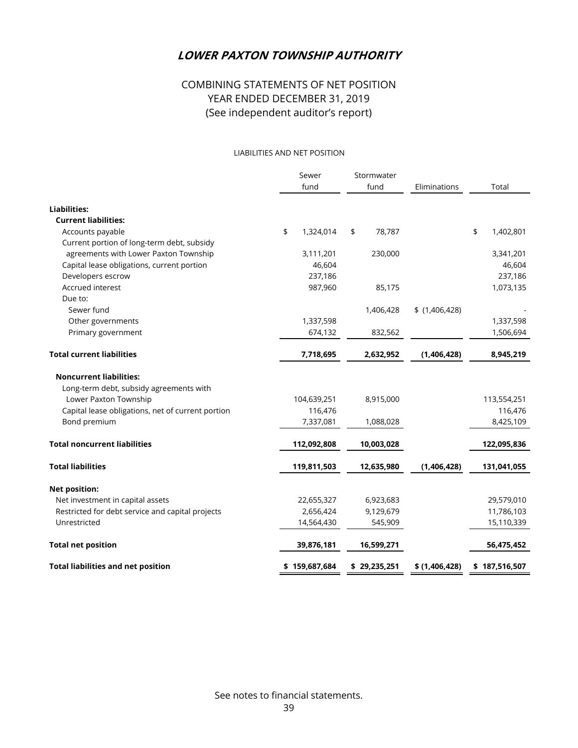# COMBINING STATEMENTS OF NET POSITION YEAR ENDED DECEMBER 31, 2019 (See independent auditor's report)

#### LIABILITIES AND NET POSITION

|                                                   | Sewer<br>fund   | Stormwater<br>fund |              | Eliminations  | Total           |
|---------------------------------------------------|-----------------|--------------------|--------------|---------------|-----------------|
| <b>Liabilities:</b>                               |                 |                    |              |               |                 |
| <b>Current liabilities:</b>                       |                 |                    |              |               |                 |
| Accounts payable                                  | \$<br>1,324,014 | \$                 | 78,787       |               | \$<br>1,402,801 |
| Current portion of long-term debt, subsidy        |                 |                    |              |               |                 |
| agreements with Lower Paxton Township             | 3,111,201       |                    | 230,000      |               | 3,341,201       |
| Capital lease obligations, current portion        | 46,604          |                    |              |               | 46,604          |
| Developers escrow                                 | 237,186         |                    |              |               | 237,186         |
| Accrued interest                                  | 987,960         |                    | 85,175       |               | 1,073,135       |
| Due to:                                           |                 |                    |              |               |                 |
| Sewer fund                                        |                 |                    | 1,406,428    | \$(1,406,428) |                 |
| Other governments                                 | 1,337,598       |                    |              |               | 1,337,598       |
| Primary government                                | 674,132         |                    | 832,562      |               | 1,506,694       |
| <b>Total current liabilities</b>                  | 7,718,695       |                    | 2,632,952    | (1,406,428)   | 8,945,219       |
| <b>Noncurrent liabilities:</b>                    |                 |                    |              |               |                 |
| Long-term debt, subsidy agreements with           |                 |                    |              |               |                 |
| Lower Paxton Township                             | 104,639,251     |                    | 8,915,000    |               | 113,554,251     |
| Capital lease obligations, net of current portion | 116,476         |                    |              |               | 116,476         |
| Bond premium                                      | 7,337,081       |                    | 1,088,028    |               | 8,425,109       |
| <b>Total noncurrent liabilities</b>               | 112,092,808     |                    | 10,003,028   |               | 122,095,836     |
| <b>Total liabilities</b>                          | 119,811,503     |                    | 12,635,980   | (1,406,428)   | 131,041,055     |
| <b>Net position:</b>                              |                 |                    |              |               |                 |
| Net investment in capital assets                  | 22,655,327      |                    | 6,923,683    |               | 29,579,010      |
| Restricted for debt service and capital projects  | 2,656,424       |                    | 9,129,679    |               | 11,786,103      |
| Unrestricted                                      | 14,564,430      |                    | 545,909      |               | 15,110,339      |
| <b>Total net position</b>                         | 39,876,181      |                    | 16,599,271   |               | 56,475,452      |
| <b>Total liabilities and net position</b>         | \$159,687,684   |                    | \$29,235,251 | \$(1,406,428) | \$187,516,507   |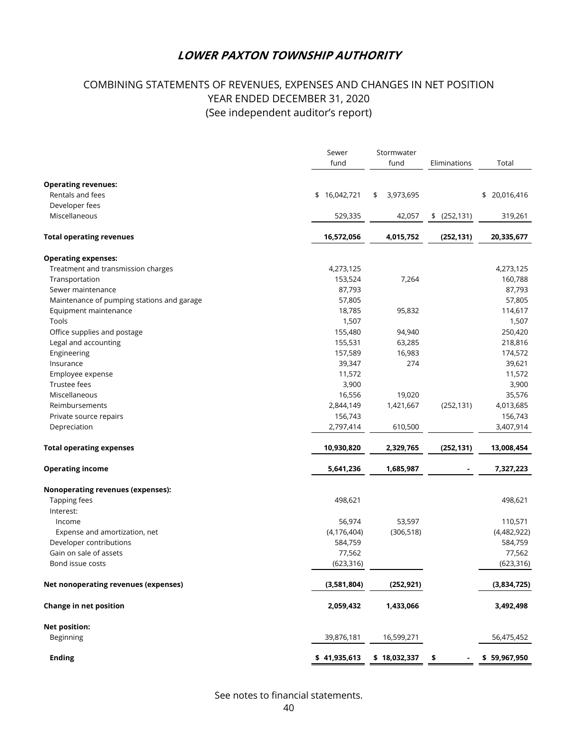# COMBINING STATEMENTS OF REVENUES, EXPENSES AND CHANGES IN NET POSITION YEAR ENDED DECEMBER 31, 2020 (See independent auditor's report)

|                                            | Sewer         | Stormwater      |               |               |  |
|--------------------------------------------|---------------|-----------------|---------------|---------------|--|
|                                            | fund          | fund            | Eliminations  | Total         |  |
| <b>Operating revenues:</b>                 |               |                 |               |               |  |
| Rentals and fees                           | \$16,042,721  | 3,973,695<br>\$ |               | \$ 20,016,416 |  |
| Developer fees                             |               |                 |               |               |  |
| Miscellaneous                              | 529,335       | 42,057          | \$ (252, 131) | 319,261       |  |
|                                            |               |                 |               |               |  |
| <b>Total operating revenues</b>            | 16,572,056    | 4,015,752       | (252, 131)    | 20,335,677    |  |
| <b>Operating expenses:</b>                 |               |                 |               |               |  |
| Treatment and transmission charges         | 4,273,125     |                 |               | 4,273,125     |  |
| Transportation                             | 153,524       | 7,264           |               | 160,788       |  |
| Sewer maintenance                          | 87,793        |                 |               | 87,793        |  |
| Maintenance of pumping stations and garage | 57,805        |                 |               | 57,805        |  |
| Equipment maintenance                      | 18,785        | 95,832          |               | 114,617       |  |
| Tools                                      | 1,507         |                 |               | 1,507         |  |
| Office supplies and postage                | 155,480       | 94,940          |               | 250,420       |  |
| Legal and accounting                       | 155,531       | 63,285          |               | 218,816       |  |
| Engineering                                | 157,589       | 16,983          |               | 174,572       |  |
| Insurance                                  | 39,347        | 274             |               | 39,621        |  |
| Employee expense                           | 11,572        |                 |               | 11,572        |  |
| Trustee fees                               | 3,900         |                 |               | 3,900         |  |
| Miscellaneous                              | 16,556        | 19,020          |               | 35,576        |  |
| Reimbursements                             | 2,844,149     | 1,421,667       | (252, 131)    | 4,013,685     |  |
| Private source repairs                     | 156,743       |                 |               | 156,743       |  |
| Depreciation                               | 2,797,414     | 610,500         |               | 3,407,914     |  |
|                                            |               |                 |               |               |  |
| <b>Total operating expenses</b>            | 10,930,820    | 2,329,765       | (252, 131)    | 13,008,454    |  |
| <b>Operating income</b>                    | 5,641,236     | 1,685,987       |               | 7,327,223     |  |
| Nonoperating revenues (expenses):          |               |                 |               |               |  |
| Tapping fees                               | 498,621       |                 |               | 498,621       |  |
| Interest:                                  |               |                 |               |               |  |
| Income                                     | 56,974        | 53,597          |               | 110,571       |  |
| Expense and amortization, net              | (4, 176, 404) | (306, 518)      |               | (4,482,922)   |  |
| Developer contributions                    | 584,759       |                 |               | 584,759       |  |
| Gain on sale of assets                     | 77,562        |                 |               | 77,562        |  |
| Bond issue costs                           | (623, 316)    |                 |               | (623, 316)    |  |
|                                            |               |                 |               |               |  |
| Net nonoperating revenues (expenses)       | (3,581,804)   | (252, 921)      |               | (3,834,725)   |  |
| Change in net position                     | 2,059,432     | 1,433,066       |               | 3,492,498     |  |
| <b>Net position:</b>                       |               |                 |               |               |  |
| Beginning                                  | 39,876,181    | 16,599,271      |               | 56,475,452    |  |
| <b>Ending</b>                              | \$41,935,613  | \$18,032,337    | \$            | \$59,967,950  |  |

See notes to financial statements.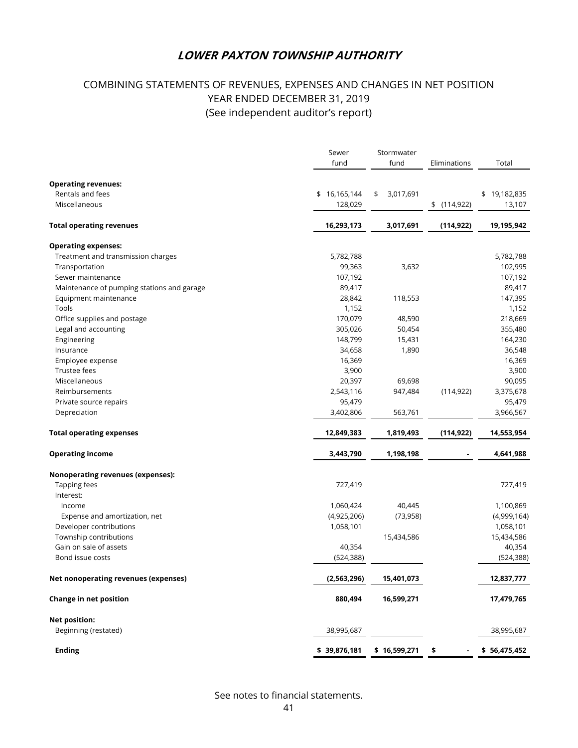# COMBINING STATEMENTS OF REVENUES, EXPENSES AND CHANGES IN NET POSITION YEAR ENDED DECEMBER 31, 2019 (See independent auditor's report)

|                                            | Sewer        | Stormwater      |              |              |
|--------------------------------------------|--------------|-----------------|--------------|--------------|
|                                            | fund         | fund            | Eliminations | Total        |
| <b>Operating revenues:</b>                 |              |                 |              |              |
| Rentals and fees                           | \$16,165,144 | 3,017,691<br>\$ |              | \$19,182,835 |
| Miscellaneous                              | 128,029      |                 | \$(114, 922) | 13,107       |
| <b>Total operating revenues</b>            | 16,293,173   | 3,017,691       | (114, 922)   | 19,195,942   |
| <b>Operating expenses:</b>                 |              |                 |              |              |
| Treatment and transmission charges         | 5,782,788    |                 |              | 5,782,788    |
| Transportation                             | 99,363       | 3,632           |              | 102,995      |
| Sewer maintenance                          | 107,192      |                 |              | 107,192      |
| Maintenance of pumping stations and garage | 89,417       |                 |              | 89,417       |
| Equipment maintenance                      | 28,842       | 118,553         |              | 147,395      |
| Tools                                      | 1,152        |                 |              | 1,152        |
| Office supplies and postage                | 170,079      | 48,590          |              | 218,669      |
| Legal and accounting                       | 305,026      | 50,454          |              | 355,480      |
| Engineering                                | 148,799      | 15,431          |              | 164,230      |
| Insurance                                  | 34,658       | 1,890           |              | 36,548       |
| Employee expense                           | 16,369       |                 |              | 16,369       |
| Trustee fees                               | 3,900        |                 |              | 3,900        |
| Miscellaneous                              | 20,397       | 69,698          |              | 90,095       |
| Reimbursements                             | 2,543,116    | 947,484         | (114, 922)   | 3,375,678    |
| Private source repairs                     | 95,479       |                 |              | 95,479       |
| Depreciation                               | 3,402,806    | 563,761         |              | 3,966,567    |
| <b>Total operating expenses</b>            | 12,849,383   | 1,819,493       | (114, 922)   | 14,553,954   |
| <b>Operating income</b>                    | 3,443,790    | 1,198,198       |              | 4,641,988    |
| Nonoperating revenues (expenses):          |              |                 |              |              |
| Tapping fees                               | 727,419      |                 |              | 727,419      |
| Interest:                                  |              |                 |              |              |
| Income                                     | 1,060,424    | 40,445          |              | 1,100,869    |
| Expense and amortization, net              | (4,925,206)  | (73, 958)       |              | (4,999,164)  |
| Developer contributions                    | 1,058,101    |                 |              | 1,058,101    |
| Township contributions                     |              | 15,434,586      |              | 15,434,586   |
| Gain on sale of assets                     | 40,354       |                 |              | 40,354       |
| Bond issue costs                           | (524, 388)   |                 |              | (524, 388)   |
| Net nonoperating revenues (expenses)       | (2,563,296)  | 15,401,073      |              | 12,837,777   |
| Change in net position                     | 880,494      | 16,599,271      |              | 17,479,765   |
| <b>Net position:</b>                       |              |                 |              |              |
| Beginning (restated)                       | 38,995,687   |                 |              | 38,995,687   |
| <b>Ending</b>                              | \$39,876,181 | \$16,599,271    | \$           | \$56,475,452 |

See notes to financial statements.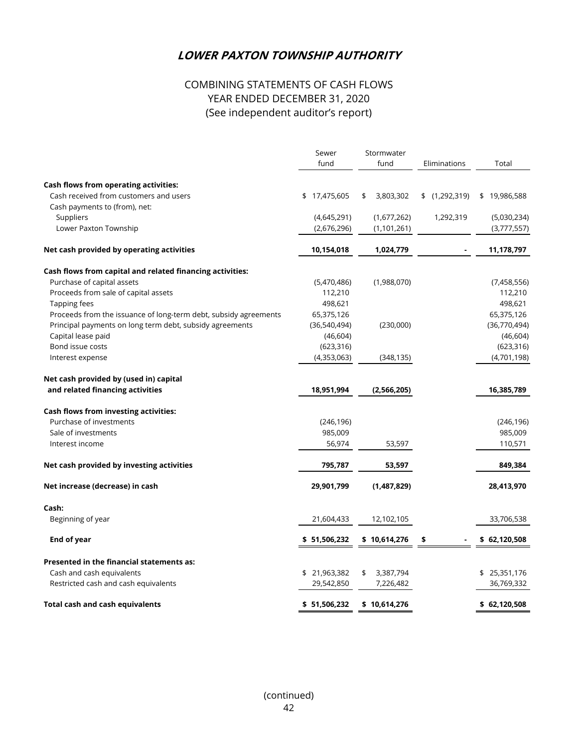# COMBINING STATEMENTS OF CASH FLOWS YEAR ENDED DECEMBER 31, 2020 (See independent auditor's report)

|                                                                  | Sewer<br>fund  | Stormwater<br>fund | Eliminations  | Total            |
|------------------------------------------------------------------|----------------|--------------------|---------------|------------------|
|                                                                  |                |                    |               |                  |
| <b>Cash flows from operating activities:</b>                     |                |                    |               |                  |
| Cash received from customers and users                           | \$17,475,605   | 3,803,302<br>\$    | \$(1,292,319) | 19,986,588<br>\$ |
| Cash payments to (from), net:                                    |                |                    |               |                  |
| Suppliers                                                        | (4,645,291)    | (1,677,262)        | 1,292,319     | (5,030,234)      |
| Lower Paxton Township                                            | (2,676,296)    | (1, 101, 261)      |               | (3,777,557)      |
| Net cash provided by operating activities                        | 10,154,018     | 1,024,779          |               | 11,178,797       |
| Cash flows from capital and related financing activities:        |                |                    |               |                  |
| Purchase of capital assets                                       | (5,470,486)    | (1,988,070)        |               | (7,458,556)      |
| Proceeds from sale of capital assets                             | 112,210        |                    |               | 112,210          |
| Tapping fees                                                     | 498,621        |                    |               | 498,621          |
| Proceeds from the issuance of long-term debt, subsidy agreements | 65,375,126     |                    |               | 65,375,126       |
| Principal payments on long term debt, subsidy agreements         | (36, 540, 494) | (230,000)          |               | (36,770,494)     |
| Capital lease paid                                               | (46, 604)      |                    |               | (46, 604)        |
| Bond issue costs                                                 | (623, 316)     |                    |               | (623, 316)       |
| Interest expense                                                 | (4,353,063)    | (348, 135)         |               | (4,701,198)      |
| Net cash provided by (used in) capital                           |                |                    |               |                  |
| and related financing activities                                 | 18,951,994     | (2,566,205)        |               | 16,385,789       |
| Cash flows from investing activities:                            |                |                    |               |                  |
| Purchase of investments                                          | (246, 196)     |                    |               | (246, 196)       |
| Sale of investments                                              | 985,009        |                    |               | 985,009          |
| Interest income                                                  | 56,974         | 53,597             |               | 110,571          |
| Net cash provided by investing activities                        | 795,787        | 53,597             |               | 849,384          |
| Net increase (decrease) in cash                                  | 29,901,799     | (1,487,829)        |               | 28,413,970       |
| Cash:                                                            |                |                    |               |                  |
| Beginning of year                                                | 21,604,433     | 12,102,105         |               | 33,706,538       |
| End of year                                                      | \$51,506,232   | \$10,614,276       | \$            | \$ 62,120,508    |
| Presented in the financial statements as:                        |                |                    |               |                  |
| Cash and cash equivalents                                        | \$21,963,382   | 3,387,794<br>\$    |               | \$25,351,176     |
| Restricted cash and cash equivalents                             | 29,542,850     | 7,226,482          |               | 36,769,332       |
| Total cash and cash equivalents                                  | \$51,506,232   | \$10,614,276       |               | \$62,120,508     |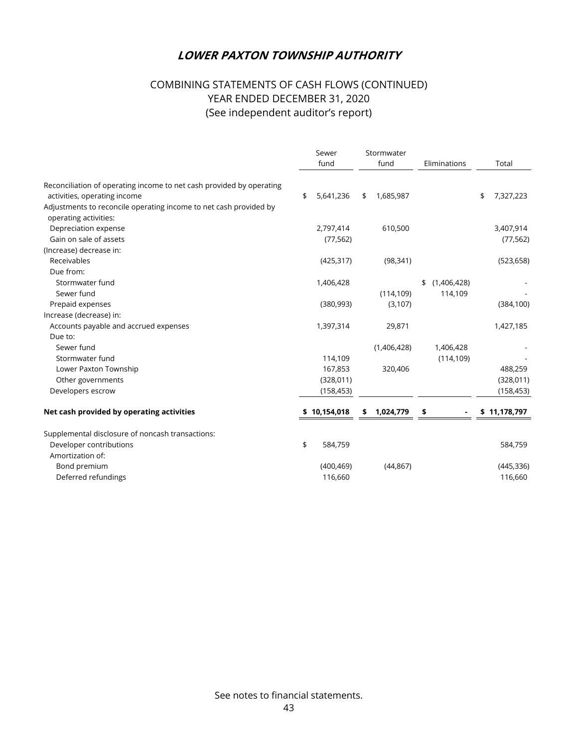# COMBINING STATEMENTS OF CASH FLOWS (CONTINUED) YEAR ENDED DECEMBER 31, 2020 (See independent auditor's report)

|                                                                                                      |    | Sewer<br>fund | Stormwater<br>fund | Eliminations      | Total           |
|------------------------------------------------------------------------------------------------------|----|---------------|--------------------|-------------------|-----------------|
| Reconciliation of operating income to net cash provided by operating<br>activities, operating income | \$ | 5,641,236     | \$<br>1,685,987    |                   | \$<br>7,327,223 |
| Adjustments to reconcile operating income to net cash provided by<br>operating activities:           |    |               |                    |                   |                 |
| Depreciation expense                                                                                 |    | 2,797,414     | 610,500            |                   | 3,407,914       |
| Gain on sale of assets                                                                               |    | (77, 562)     |                    |                   | (77, 562)       |
| (Increase) decrease in:                                                                              |    |               |                    |                   |                 |
| Receivables                                                                                          |    | (425, 317)    | (98, 341)          |                   | (523, 658)      |
| Due from:                                                                                            |    |               |                    |                   |                 |
| Stormwater fund                                                                                      |    | 1,406,428     |                    | \$<br>(1,406,428) |                 |
| Sewer fund                                                                                           |    |               | (114, 109)         | 114,109           |                 |
| Prepaid expenses                                                                                     |    | (380,993)     | (3, 107)           |                   | (384, 100)      |
| Increase (decrease) in:                                                                              |    |               |                    |                   |                 |
| Accounts payable and accrued expenses                                                                |    | 1,397,314     | 29,871             |                   | 1,427,185       |
| Due to:                                                                                              |    |               |                    |                   |                 |
| Sewer fund                                                                                           |    |               | (1,406,428)        | 1,406,428         |                 |
| Stormwater fund                                                                                      |    | 114,109       |                    | (114, 109)        |                 |
| Lower Paxton Township                                                                                |    | 167,853       | 320,406            |                   | 488,259         |
| Other governments                                                                                    |    | (328,011)     |                    |                   | (328, 011)      |
| Developers escrow                                                                                    |    | (158, 453)    |                    |                   | (158, 453)      |
| Net cash provided by operating activities                                                            |    | 10,154,018    | 1,024,779          | \$                | \$11,178,797    |
| Supplemental disclosure of noncash transactions:                                                     |    |               |                    |                   |                 |
| Developer contributions                                                                              | \$ | 584,759       |                    |                   | 584,759         |
| Amortization of:                                                                                     |    |               |                    |                   |                 |
| Bond premium                                                                                         |    | (400, 469)    | (44, 867)          |                   | (445, 336)      |
| Deferred refundings                                                                                  |    | 116,660       |                    |                   | 116,660         |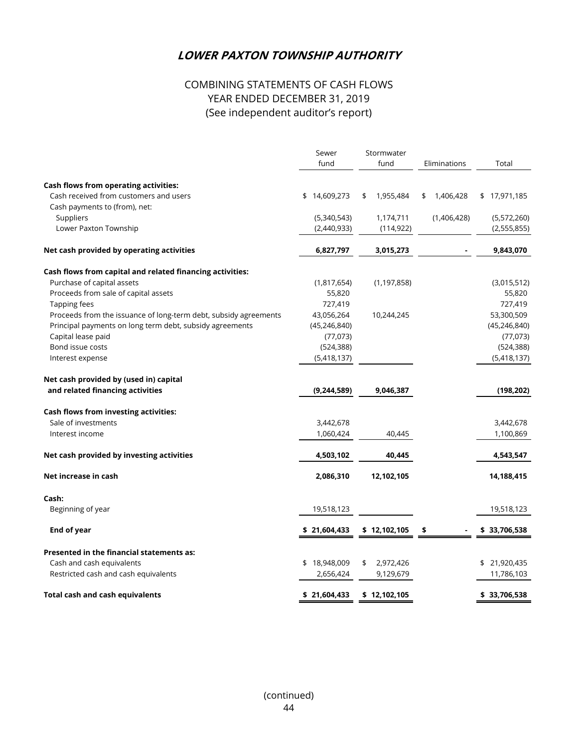# COMBINING STATEMENTS OF CASH FLOWS YEAR ENDED DECEMBER 31, 2019 (See independent auditor's report)

| fund<br>fund<br>Eliminations<br>Total<br><b>Cash flows from operating activities:</b><br>Cash received from customers and users<br>\$14,609,273<br>1,955,484<br>1,406,428<br>\$17,971,185<br>\$<br>\$<br>Cash payments to (from), net:<br>(1,406,428)<br>Suppliers<br>(5,340,543)<br>1,174,711<br>(5,572,260)<br>Lower Paxton Township<br>(2,440,933)<br>(114, 922)<br>(2,555,855)<br>Net cash provided by operating activities<br>6,827,797<br>3,015,273<br>9,843,070<br>Cash flows from capital and related financing activities:<br>Purchase of capital assets<br>(1,817,654)<br>(1, 197, 858)<br>Proceeds from sale of capital assets<br>55,820<br>55,820<br>727,419<br>727,419<br>Tapping fees<br>Proceeds from the issuance of long-term debt, subsidy agreements<br>43,056,264<br>53,300,509<br>10,244,245<br>Principal payments on long term debt, subsidy agreements<br>(45, 246, 840)<br>Capital lease paid<br>(77, 073)<br>Bond issue costs<br>(524, 388)<br>(5,418,137)<br>Interest expense<br>Net cash provided by (used in) capital<br>and related financing activities<br>(9, 244, 589)<br>9,046,387<br>Cash flows from investing activities:<br>Sale of investments<br>3,442,678<br>3,442,678<br>Interest income<br>1,060,424<br>40,445<br>1,100,869<br>Net cash provided by investing activities<br>4,503,102<br>40,445<br>4,543,547<br>Net increase in cash<br>2,086,310<br>12,102,105<br>14,188,415<br>Cash:<br>Beginning of year<br>19,518,123<br>End of year<br>\$21,604,433<br>\$12,102,105<br>\$<br>\$33,706,538<br>Presented in the financial statements as:<br>Cash and cash equivalents<br>\$18,948,009<br>2,972,426<br>\$ 21,920,435<br>\$<br>Restricted cash and cash equivalents<br>2,656,424<br>9,129,679<br>11,786,103<br><b>Total cash and cash equivalents</b><br>\$21,604,433<br>\$12,102,105<br>\$33,706,538 | Sewer | Stormwater |                |
|-------------------------------------------------------------------------------------------------------------------------------------------------------------------------------------------------------------------------------------------------------------------------------------------------------------------------------------------------------------------------------------------------------------------------------------------------------------------------------------------------------------------------------------------------------------------------------------------------------------------------------------------------------------------------------------------------------------------------------------------------------------------------------------------------------------------------------------------------------------------------------------------------------------------------------------------------------------------------------------------------------------------------------------------------------------------------------------------------------------------------------------------------------------------------------------------------------------------------------------------------------------------------------------------------------------------------------------------------------------------------------------------------------------------------------------------------------------------------------------------------------------------------------------------------------------------------------------------------------------------------------------------------------------------------------------------------------------------------------------------------------------------------------------------------------------------------------------------------|-------|------------|----------------|
|                                                                                                                                                                                                                                                                                                                                                                                                                                                                                                                                                                                                                                                                                                                                                                                                                                                                                                                                                                                                                                                                                                                                                                                                                                                                                                                                                                                                                                                                                                                                                                                                                                                                                                                                                                                                                                                 |       |            |                |
|                                                                                                                                                                                                                                                                                                                                                                                                                                                                                                                                                                                                                                                                                                                                                                                                                                                                                                                                                                                                                                                                                                                                                                                                                                                                                                                                                                                                                                                                                                                                                                                                                                                                                                                                                                                                                                                 |       |            |                |
|                                                                                                                                                                                                                                                                                                                                                                                                                                                                                                                                                                                                                                                                                                                                                                                                                                                                                                                                                                                                                                                                                                                                                                                                                                                                                                                                                                                                                                                                                                                                                                                                                                                                                                                                                                                                                                                 |       |            |                |
|                                                                                                                                                                                                                                                                                                                                                                                                                                                                                                                                                                                                                                                                                                                                                                                                                                                                                                                                                                                                                                                                                                                                                                                                                                                                                                                                                                                                                                                                                                                                                                                                                                                                                                                                                                                                                                                 |       |            |                |
|                                                                                                                                                                                                                                                                                                                                                                                                                                                                                                                                                                                                                                                                                                                                                                                                                                                                                                                                                                                                                                                                                                                                                                                                                                                                                                                                                                                                                                                                                                                                                                                                                                                                                                                                                                                                                                                 |       |            |                |
|                                                                                                                                                                                                                                                                                                                                                                                                                                                                                                                                                                                                                                                                                                                                                                                                                                                                                                                                                                                                                                                                                                                                                                                                                                                                                                                                                                                                                                                                                                                                                                                                                                                                                                                                                                                                                                                 |       |            |                |
|                                                                                                                                                                                                                                                                                                                                                                                                                                                                                                                                                                                                                                                                                                                                                                                                                                                                                                                                                                                                                                                                                                                                                                                                                                                                                                                                                                                                                                                                                                                                                                                                                                                                                                                                                                                                                                                 |       |            |                |
|                                                                                                                                                                                                                                                                                                                                                                                                                                                                                                                                                                                                                                                                                                                                                                                                                                                                                                                                                                                                                                                                                                                                                                                                                                                                                                                                                                                                                                                                                                                                                                                                                                                                                                                                                                                                                                                 |       |            |                |
|                                                                                                                                                                                                                                                                                                                                                                                                                                                                                                                                                                                                                                                                                                                                                                                                                                                                                                                                                                                                                                                                                                                                                                                                                                                                                                                                                                                                                                                                                                                                                                                                                                                                                                                                                                                                                                                 |       |            |                |
|                                                                                                                                                                                                                                                                                                                                                                                                                                                                                                                                                                                                                                                                                                                                                                                                                                                                                                                                                                                                                                                                                                                                                                                                                                                                                                                                                                                                                                                                                                                                                                                                                                                                                                                                                                                                                                                 |       |            | (3,015,512)    |
|                                                                                                                                                                                                                                                                                                                                                                                                                                                                                                                                                                                                                                                                                                                                                                                                                                                                                                                                                                                                                                                                                                                                                                                                                                                                                                                                                                                                                                                                                                                                                                                                                                                                                                                                                                                                                                                 |       |            |                |
|                                                                                                                                                                                                                                                                                                                                                                                                                                                                                                                                                                                                                                                                                                                                                                                                                                                                                                                                                                                                                                                                                                                                                                                                                                                                                                                                                                                                                                                                                                                                                                                                                                                                                                                                                                                                                                                 |       |            |                |
|                                                                                                                                                                                                                                                                                                                                                                                                                                                                                                                                                                                                                                                                                                                                                                                                                                                                                                                                                                                                                                                                                                                                                                                                                                                                                                                                                                                                                                                                                                                                                                                                                                                                                                                                                                                                                                                 |       |            |                |
|                                                                                                                                                                                                                                                                                                                                                                                                                                                                                                                                                                                                                                                                                                                                                                                                                                                                                                                                                                                                                                                                                                                                                                                                                                                                                                                                                                                                                                                                                                                                                                                                                                                                                                                                                                                                                                                 |       |            | (45, 246, 840) |
|                                                                                                                                                                                                                                                                                                                                                                                                                                                                                                                                                                                                                                                                                                                                                                                                                                                                                                                                                                                                                                                                                                                                                                                                                                                                                                                                                                                                                                                                                                                                                                                                                                                                                                                                                                                                                                                 |       |            | (77, 073)      |
|                                                                                                                                                                                                                                                                                                                                                                                                                                                                                                                                                                                                                                                                                                                                                                                                                                                                                                                                                                                                                                                                                                                                                                                                                                                                                                                                                                                                                                                                                                                                                                                                                                                                                                                                                                                                                                                 |       |            | (524, 388)     |
|                                                                                                                                                                                                                                                                                                                                                                                                                                                                                                                                                                                                                                                                                                                                                                                                                                                                                                                                                                                                                                                                                                                                                                                                                                                                                                                                                                                                                                                                                                                                                                                                                                                                                                                                                                                                                                                 |       |            | (5,418,137)    |
|                                                                                                                                                                                                                                                                                                                                                                                                                                                                                                                                                                                                                                                                                                                                                                                                                                                                                                                                                                                                                                                                                                                                                                                                                                                                                                                                                                                                                                                                                                                                                                                                                                                                                                                                                                                                                                                 |       |            |                |
|                                                                                                                                                                                                                                                                                                                                                                                                                                                                                                                                                                                                                                                                                                                                                                                                                                                                                                                                                                                                                                                                                                                                                                                                                                                                                                                                                                                                                                                                                                                                                                                                                                                                                                                                                                                                                                                 |       |            | (198, 202)     |
|                                                                                                                                                                                                                                                                                                                                                                                                                                                                                                                                                                                                                                                                                                                                                                                                                                                                                                                                                                                                                                                                                                                                                                                                                                                                                                                                                                                                                                                                                                                                                                                                                                                                                                                                                                                                                                                 |       |            |                |
|                                                                                                                                                                                                                                                                                                                                                                                                                                                                                                                                                                                                                                                                                                                                                                                                                                                                                                                                                                                                                                                                                                                                                                                                                                                                                                                                                                                                                                                                                                                                                                                                                                                                                                                                                                                                                                                 |       |            |                |
|                                                                                                                                                                                                                                                                                                                                                                                                                                                                                                                                                                                                                                                                                                                                                                                                                                                                                                                                                                                                                                                                                                                                                                                                                                                                                                                                                                                                                                                                                                                                                                                                                                                                                                                                                                                                                                                 |       |            |                |
|                                                                                                                                                                                                                                                                                                                                                                                                                                                                                                                                                                                                                                                                                                                                                                                                                                                                                                                                                                                                                                                                                                                                                                                                                                                                                                                                                                                                                                                                                                                                                                                                                                                                                                                                                                                                                                                 |       |            |                |
|                                                                                                                                                                                                                                                                                                                                                                                                                                                                                                                                                                                                                                                                                                                                                                                                                                                                                                                                                                                                                                                                                                                                                                                                                                                                                                                                                                                                                                                                                                                                                                                                                                                                                                                                                                                                                                                 |       |            |                |
|                                                                                                                                                                                                                                                                                                                                                                                                                                                                                                                                                                                                                                                                                                                                                                                                                                                                                                                                                                                                                                                                                                                                                                                                                                                                                                                                                                                                                                                                                                                                                                                                                                                                                                                                                                                                                                                 |       |            |                |
|                                                                                                                                                                                                                                                                                                                                                                                                                                                                                                                                                                                                                                                                                                                                                                                                                                                                                                                                                                                                                                                                                                                                                                                                                                                                                                                                                                                                                                                                                                                                                                                                                                                                                                                                                                                                                                                 |       |            | 19,518,123     |
|                                                                                                                                                                                                                                                                                                                                                                                                                                                                                                                                                                                                                                                                                                                                                                                                                                                                                                                                                                                                                                                                                                                                                                                                                                                                                                                                                                                                                                                                                                                                                                                                                                                                                                                                                                                                                                                 |       |            |                |
|                                                                                                                                                                                                                                                                                                                                                                                                                                                                                                                                                                                                                                                                                                                                                                                                                                                                                                                                                                                                                                                                                                                                                                                                                                                                                                                                                                                                                                                                                                                                                                                                                                                                                                                                                                                                                                                 |       |            |                |
|                                                                                                                                                                                                                                                                                                                                                                                                                                                                                                                                                                                                                                                                                                                                                                                                                                                                                                                                                                                                                                                                                                                                                                                                                                                                                                                                                                                                                                                                                                                                                                                                                                                                                                                                                                                                                                                 |       |            |                |
|                                                                                                                                                                                                                                                                                                                                                                                                                                                                                                                                                                                                                                                                                                                                                                                                                                                                                                                                                                                                                                                                                                                                                                                                                                                                                                                                                                                                                                                                                                                                                                                                                                                                                                                                                                                                                                                 |       |            |                |
|                                                                                                                                                                                                                                                                                                                                                                                                                                                                                                                                                                                                                                                                                                                                                                                                                                                                                                                                                                                                                                                                                                                                                                                                                                                                                                                                                                                                                                                                                                                                                                                                                                                                                                                                                                                                                                                 |       |            |                |